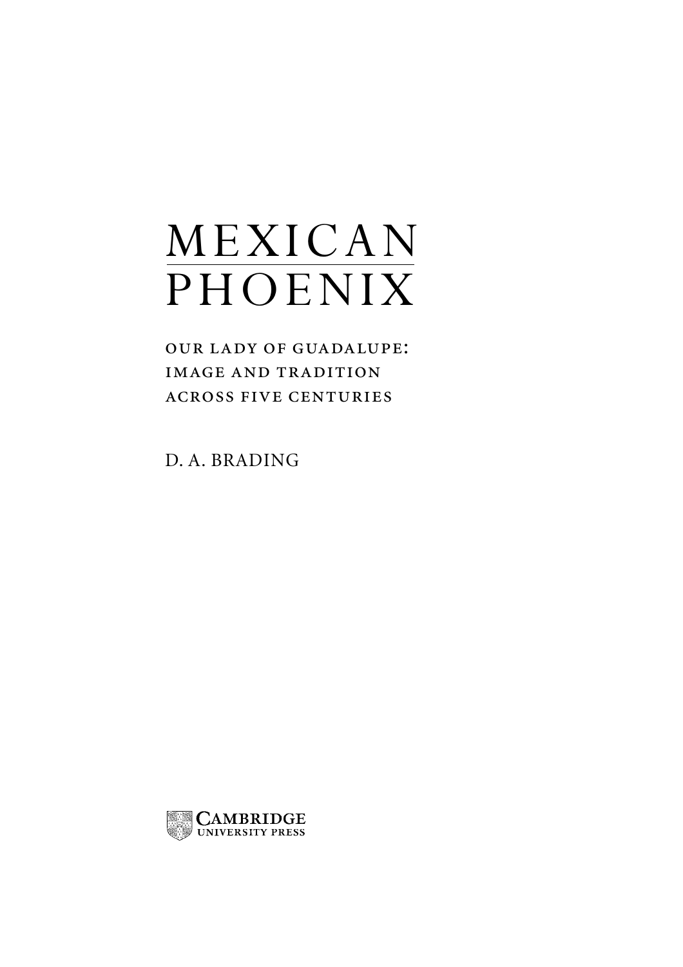# MEXICAN PHOENIX

OUR LADY OF GUADALUPE: **IMAGE AND TRADITION ACROSS FIVE CENTURIES** 

D. A. BRADING

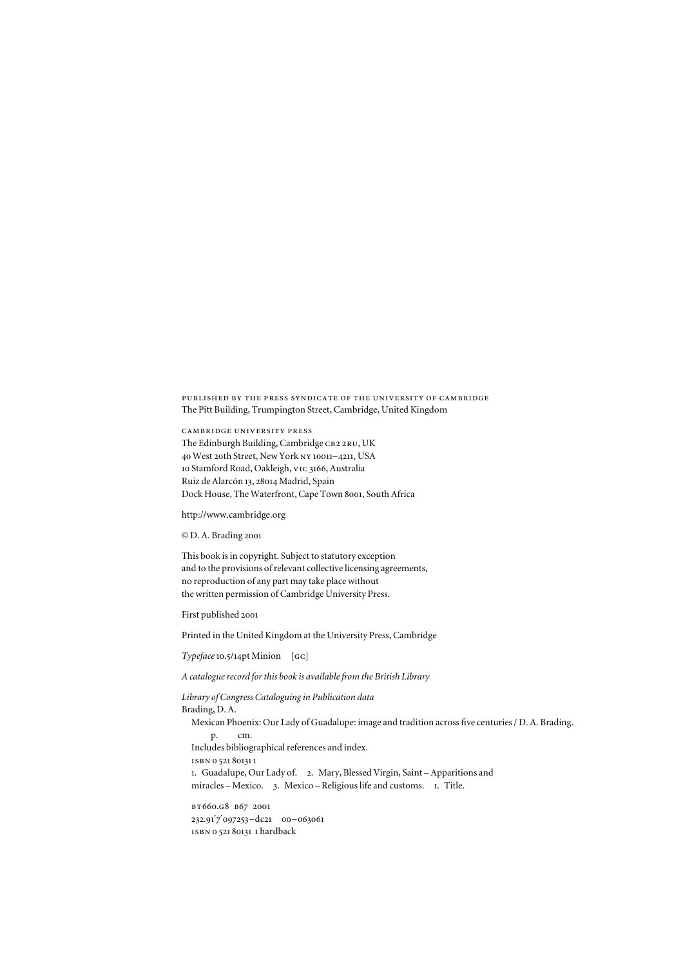published by the press syndicate of the university of cambridge The Pitt Building, Trumpington Street, Cambridge, United Kingdom

cambridge university press The Edinburgh Building, Cambridge CB2 2RU, UK 40 West 20th Street, New York ny 10011–4211, USA 10 Stamford Road, Oakleigh, vic 3166, Australia Ruiz de Alarcón 13, 28014 Madrid, Spain Dock House, The Waterfront, Cape Town 8001, South Africa

http://www.cambridge.org

© D. A. Brading 2001

This book is in copyright. Subject to statutory exception and to the provisions of relevant collective licensing agreements, no reproduction of any part may take place without the written permission of Cambridge University Press.

First published 2001

Printed in the United Kingdom at the University Press, Cambridge

*Typeface*10.5/14pt Minion [gc]

*A catalogue record for this book is available from the British Library*

*Library of Congress Cataloguing in Publication data* Brading, D. A. Mexican Phoenix: Our Lady of Guadalupe: image and tradition across five centuries / D. A. Brading. p. cm. Includes bibliographical references and index. isbn 0 521 801311 1. Guadalupe, Our Lady of. 2. Mary, Blessed Virgin, Saint – Apparitions and miracles – Mexico. 3. Mexico – Religious life and customs. i. Title. bt660.g8 b67 2001 232.91′7′097253–dc21 00–063061

isbn 0 521 80131 1 hardback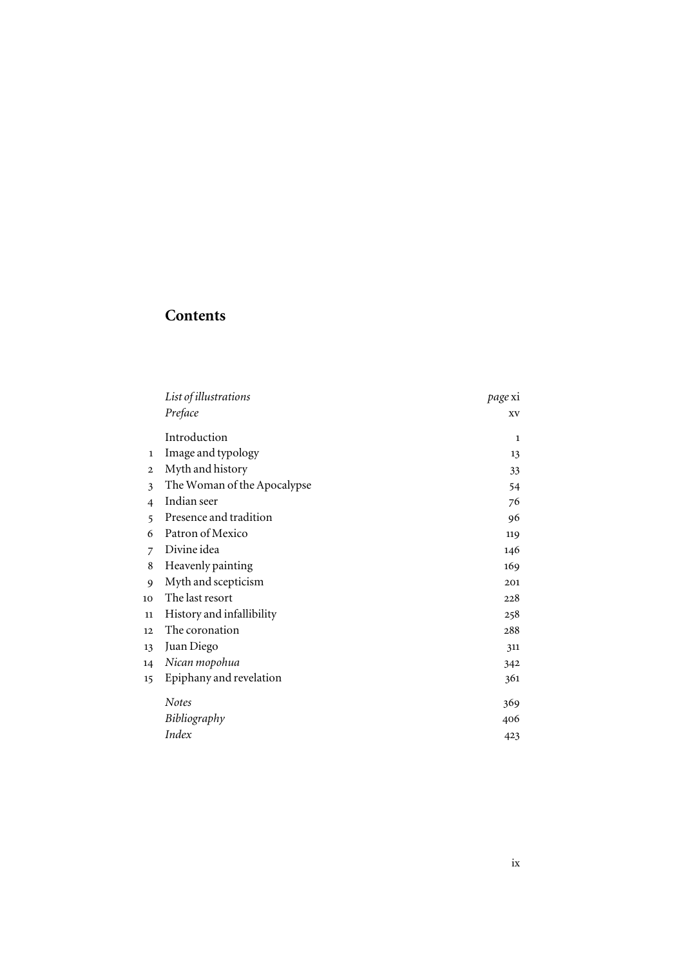# **Contents**

|                | List of illustrations       | page xi |
|----------------|-----------------------------|---------|
|                | Preface                     | XV      |
|                | Introduction                | 1       |
| 1              | Image and typology          | 13      |
| $\mathbf{2}$   | Myth and history            | 33      |
| 3              | The Woman of the Apocalypse | 54      |
| 4              | Indian seer                 | 76      |
| 5              | Presence and tradition      | 96      |
| 6              | Patron of Mexico            | 119     |
| $\overline{7}$ | Divine idea                 | 146     |
| 8              | Heavenly painting           | 169     |
| 9              | Myth and scepticism         | 201     |
| 10             | The last resort             | 228     |
| 11             | History and infallibility   | 258     |
| 12             | The coronation              | 288     |
| 13             | Juan Diego                  | 311     |
| 14             | Nican mopohua               | 342     |
| 15             | Epiphany and revelation     | 361     |
|                | <b>Notes</b>                | 369     |
|                | Bibliography                | 406     |
|                | Index                       | 423     |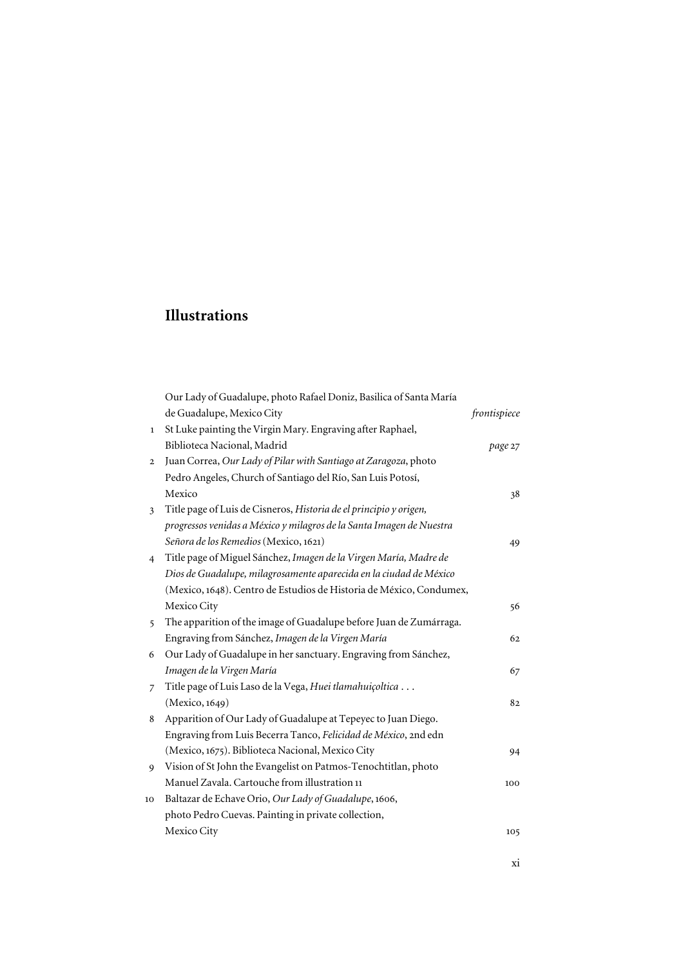# **Illustrations**

|              | Our Lady of Guadalupe, photo Rafael Doniz, Basilica of Santa María   |              |
|--------------|----------------------------------------------------------------------|--------------|
|              | de Guadalupe, Mexico City                                            | frontispiece |
| $\mathbf{1}$ | St Luke painting the Virgin Mary. Engraving after Raphael,           |              |
|              | Biblioteca Nacional, Madrid                                          | page 27      |
| $\mathbf{2}$ | Juan Correa, Our Lady of Pilar with Santiago at Zaragoza, photo      |              |
|              | Pedro Angeles, Church of Santiago del Río, San Luis Potosí,          |              |
|              | Mexico                                                               | 38           |
| 3            | Title page of Luis de Cisneros, Historia de el principio y origen,   |              |
|              | progressos venidas a México y milagros de la Santa Imagen de Nuestra |              |
|              | Señora de los Remedios (Mexico, 1621)                                | 49           |
| 4            | Title page of Miguel Sánchez, Imagen de la Virgen María, Madre de    |              |
|              | Dios de Guadalupe, milagrosamente aparecida en la ciudad de México   |              |
|              | (Mexico, 1648). Centro de Estudios de Historia de México, Condumex,  |              |
|              | Mexico City                                                          | 56           |
| 5            | The apparition of the image of Guadalupe before Juan de Zumárraga.   |              |
|              | Engraving from Sánchez, Imagen de la Virgen María                    | 62           |
| 6            | Our Lady of Guadalupe in her sanctuary. Engraving from Sánchez,      |              |
|              | Imagen de la Virgen María                                            | 67           |
| 7            | Title page of Luis Laso de la Vega, Huei tlamahuiçoltica             |              |
|              | (Mexico, 1649)                                                       | 82           |
| 8            | Apparition of Our Lady of Guadalupe at Tepeyec to Juan Diego.        |              |
|              | Engraving from Luis Becerra Tanco, Felicidad de México, 2nd edn      |              |
|              | (Mexico, 1675). Biblioteca Nacional, Mexico City                     | 94           |
| 9            | Vision of St John the Evangelist on Patmos-Tenochtitlan, photo       |              |
|              | Manuel Zavala. Cartouche from illustration 11                        | 100          |
| 10           | Baltazar de Echave Orio, Our Lady of Guadalupe, 1606,                |              |
|              | photo Pedro Cuevas. Painting in private collection,                  |              |
|              | Mexico City                                                          | 105          |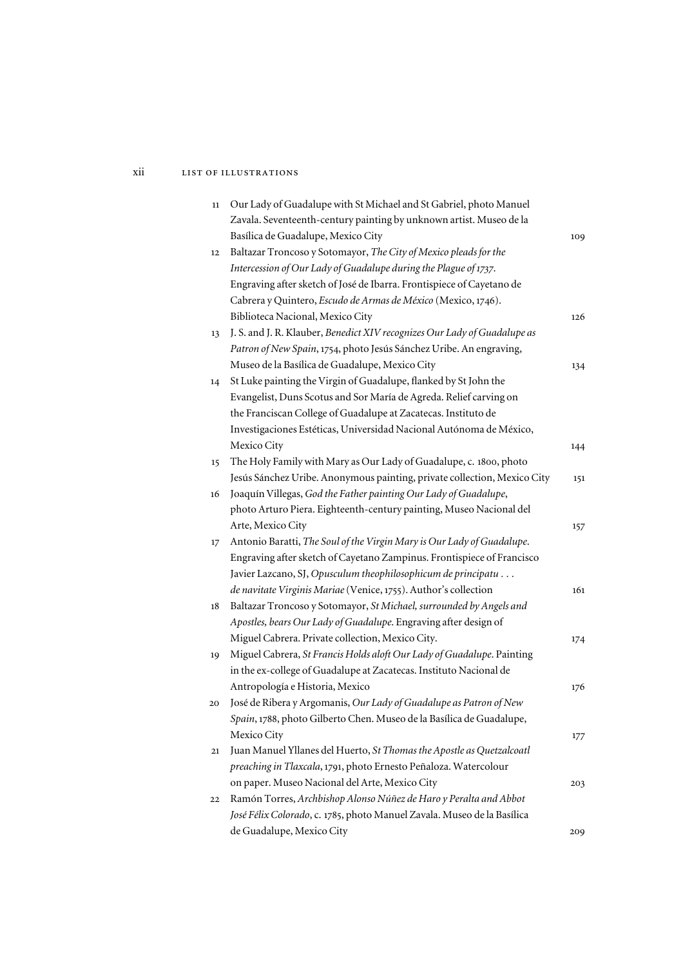### xii list of illustrations

| $11\,$ | Our Lady of Guadalupe with St Michael and St Gabriel, photo Manuel        |     |
|--------|---------------------------------------------------------------------------|-----|
|        | Zavala. Seventeenth-century painting by unknown artist. Museo de la       |     |
|        | Basílica de Guadalupe, Mexico City                                        | 109 |
| 12     | Baltazar Troncoso y Sotomayor, The City of Mexico pleads for the          |     |
|        | Intercession of Our Lady of Guadalupe during the Plague of 1737.          |     |
|        | Engraving after sketch of José de Ibarra. Frontispiece of Cayetano de     |     |
|        | Cabrera y Quintero, Escudo de Armas de México (Mexico, 1746).             |     |
|        | Biblioteca Nacional, Mexico City                                          | 126 |
| 13     | J. S. and J. R. Klauber, Benedict XIV recognizes Our Lady of Guadalupe as |     |
|        | Patron of New Spain, 1754, photo Jesús Sánchez Uribe. An engraving,       |     |
|        | Museo de la Basílica de Guadalupe, Mexico City                            | 134 |
| 14     | St Luke painting the Virgin of Guadalupe, flanked by St John the          |     |
|        | Evangelist, Duns Scotus and Sor María de Agreda. Relief carving on        |     |
|        | the Franciscan College of Guadalupe at Zacatecas. Instituto de            |     |
|        | Investigaciones Estéticas, Universidad Nacional Autónoma de México,       |     |
|        | Mexico City                                                               | 144 |
| 15     | The Holy Family with Mary as Our Lady of Guadalupe, c. 1800, photo        |     |
|        | Jesús Sánchez Uribe. Anonymous painting, private collection, Mexico City  | 151 |
| 16     | Joaquín Villegas, God the Father painting Our Lady of Guadalupe,          |     |
|        | photo Arturo Piera. Eighteenth-century painting, Museo Nacional del       |     |
|        | Arte, Mexico City                                                         | 157 |
| 17     | Antonio Baratti, The Soul of the Virgin Mary is Our Lady of Guadalupe.    |     |
|        | Engraving after sketch of Cayetano Zampinus. Frontispiece of Francisco    |     |
|        | Javier Lazcano, SJ, Opusculum theophilosophicum de principatu             |     |
|        | de navitate Virginis Mariae (Venice, 1755). Author's collection           | 161 |
| 18     | Baltazar Troncoso y Sotomayor, St Michael, surrounded by Angels and       |     |
|        | Apostles, bears Our Lady of Guadalupe. Engraving after design of          |     |
|        | Miguel Cabrera. Private collection, Mexico City.                          | 174 |
| 19     | Miguel Cabrera, St Francis Holds aloft Our Lady of Guadalupe. Painting    |     |
|        | in the ex-college of Guadalupe at Zacatecas. Instituto Nacional de        |     |
|        | Antropología e Historia, Mexico                                           | 176 |
| 20     | José de Ribera y Argomanis, Our Lady of Guadalupe as Patron of New        |     |
|        | Spain, 1788, photo Gilberto Chen. Museo de la Basílica de Guadalupe,      |     |
|        | Mexico City                                                               | 177 |
| 21     | Juan Manuel Yllanes del Huerto, St Thomas the Apostle as Quetzalcoatl     |     |
|        | preaching in Tlaxcala, 1791, photo Ernesto Peñaloza. Watercolour          |     |
|        | on paper. Museo Nacional del Arte, Mexico City                            | 203 |
| 22     | Ramón Torres, Archbishop Alonso Núñez de Haro y Peralta and Abbot         |     |
|        | José Félix Colorado, c. 1785, photo Manuel Zavala. Museo de la Basílica   |     |
|        | de Guadalupe, Mexico City                                                 | 209 |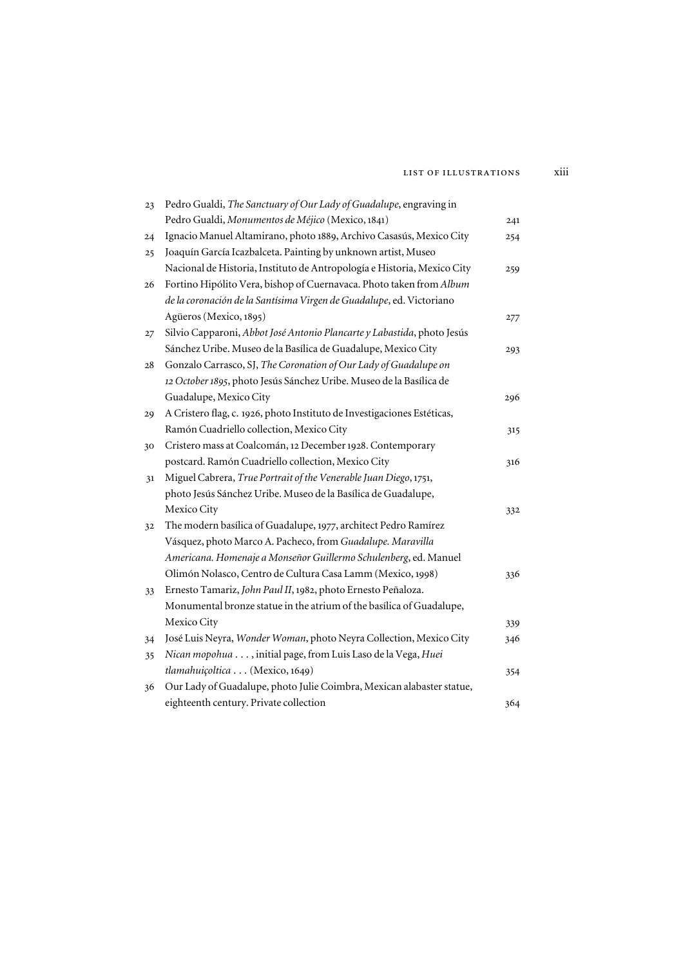#### list of illustrations xiii

| 23 | Pedro Gualdi, The Sanctuary of Our Lady of Guadalupe, engraving in      |     |
|----|-------------------------------------------------------------------------|-----|
|    | Pedro Gualdi, Monumentos de Méjico (Mexico, 1841)                       | 241 |
| 24 | Ignacio Manuel Altamirano, photo 1889, Archivo Casasús, Mexico City     | 254 |
| 25 | Joaquín García Icazbalceta. Painting by unknown artist, Museo           |     |
|    | Nacional de Historia, Instituto de Antropología e Historia, Mexico City | 259 |
| 26 | Fortino Hipólito Vera, bishop of Cuernavaca. Photo taken from Album     |     |
|    | de la coronación de la Santísima Virgen de Guadalupe, ed. Victoriano    |     |
|    | Agüeros (Mexico, 1895)                                                  | 277 |
| 27 | Silvio Capparoni, Abbot José Antonio Plancarte y Labastida, photo Jesús |     |
|    | Sánchez Uribe. Museo de la Basílica de Guadalupe, Mexico City           | 293 |
| 28 | Gonzalo Carrasco, SJ, The Coronation of Our Lady of Guadalupe on        |     |
|    | 12 October 1895, photo Jesús Sánchez Uribe. Museo de la Basílica de     |     |
|    | Guadalupe, Mexico City                                                  | 296 |
| 29 | A Cristero flag, c. 1926, photo Instituto de Investigaciones Estéticas, |     |
|    | Ramón Cuadriello collection, Mexico City                                | 315 |
| 30 | Cristero mass at Coalcomán, 12 December 1928. Contemporary              |     |
|    | postcard. Ramón Cuadriello collection, Mexico City                      | 316 |
| 31 | Miguel Cabrera, True Portrait of the Venerable Juan Diego, 1751,        |     |
|    | photo Jesús Sánchez Uribe. Museo de la Basílica de Guadalupe,           |     |
|    | Mexico City                                                             | 332 |
| 32 | The modern basílica of Guadalupe, 1977, architect Pedro Ramírez         |     |
|    | Vásquez, photo Marco A. Pacheco, from Guadalupe. Maravilla              |     |
|    | Americana. Homenaje a Monseñor Guillermo Schulenberg, ed. Manuel        |     |
|    | Olimón Nolasco, Centro de Cultura Casa Lamm (Mexico, 1998)              | 336 |
| 33 | Ernesto Tamariz, John Paul II, 1982, photo Ernesto Peñaloza.            |     |
|    | Monumental bronze statue in the atrium of the basílica of Guadalupe,    |     |
|    | Mexico City                                                             | 339 |
| 34 | José Luis Neyra, Wonder Woman, photo Neyra Collection, Mexico City      | 346 |
| 35 | Nican mopohua , initial page, from Luis Laso de la Vega, Huei           |     |
|    | tlamahuiçoltica (Mexico, 1649)                                          | 354 |
| 36 | Our Lady of Guadalupe, photo Julie Coimbra, Mexican alabaster statue,   |     |
|    | eighteenth century. Private collection                                  | 364 |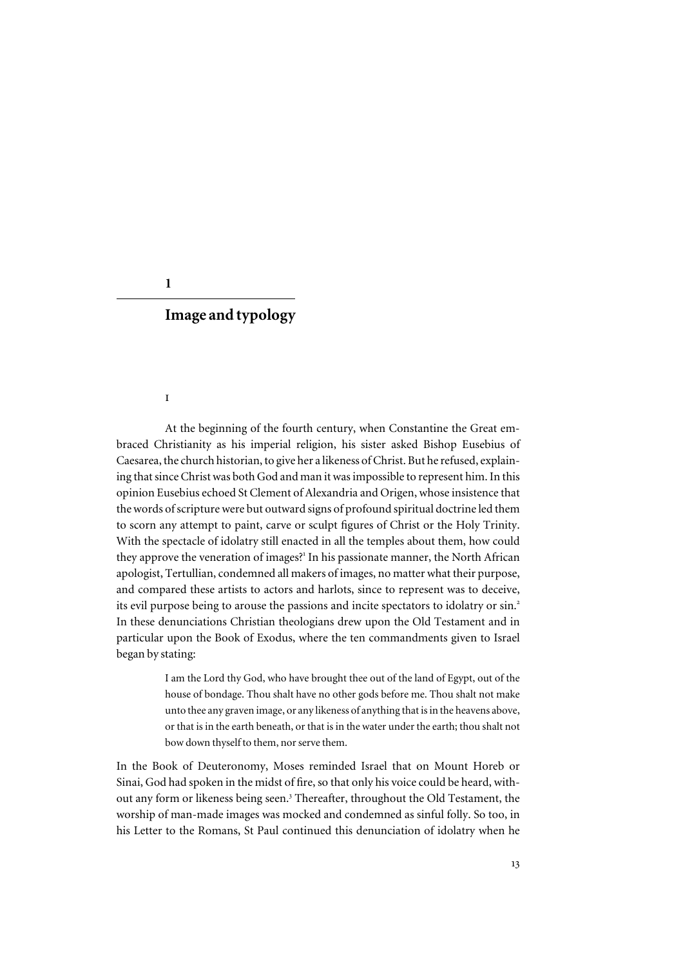#### **1**

## **Image and typology**

#### i

At the beginning of the fourth century, when Constantine the Great embraced Christianity as his imperial religion, his sister asked Bishop Eusebius of Caesarea, the church historian, to give her a likeness of Christ. But he refused, explaining that since Christ was both God and man it was impossible to represent him. In this opinion Eusebius echoed St Clement of Alexandria and Origen, whose insistence that the words of scripture were but outward signs of profound spiritual doctrine led them to scorn any attempt to paint, carve or sculpt figures of Christ or the Holy Trinity. With the spectacle of idolatry still enacted in all the temples about them, how could they approve the veneration of images?<sup>1</sup> In his passionate manner, the North African apologist, Tertullian, condemned all makers of images, no matter what their purpose, and compared these artists to actors and harlots, since to represent was to deceive, its evil purpose being to arouse the passions and incite spectators to idolatry or sin.<sup>2</sup> In these denunciations Christian theologians drew upon the Old Testament and in particular upon the Book of Exodus, where the ten commandments given to Israel began by stating:

> I am the Lord thy God, who have brought thee out of the land of Egypt, out of the house of bondage. Thou shalt have no other gods before me. Thou shalt not make unto thee any graven image, or any likeness of anything that is in the heavens above, or that is in the earth beneath, or that is in the water under the earth; thou shalt not bow down thyself to them, nor serve them.

In the Book of Deuteronomy, Moses reminded Israel that on Mount Horeb or Sinai, God had spoken in the midst of fire, so that only his voice could be heard, without any form or likeness being seen.<sup>3</sup> Thereafter, throughout the Old Testament, the worship of man-made images was mocked and condemned as sinful folly. So too, in his Letter to the Romans, St Paul continued this denunciation of idolatry when he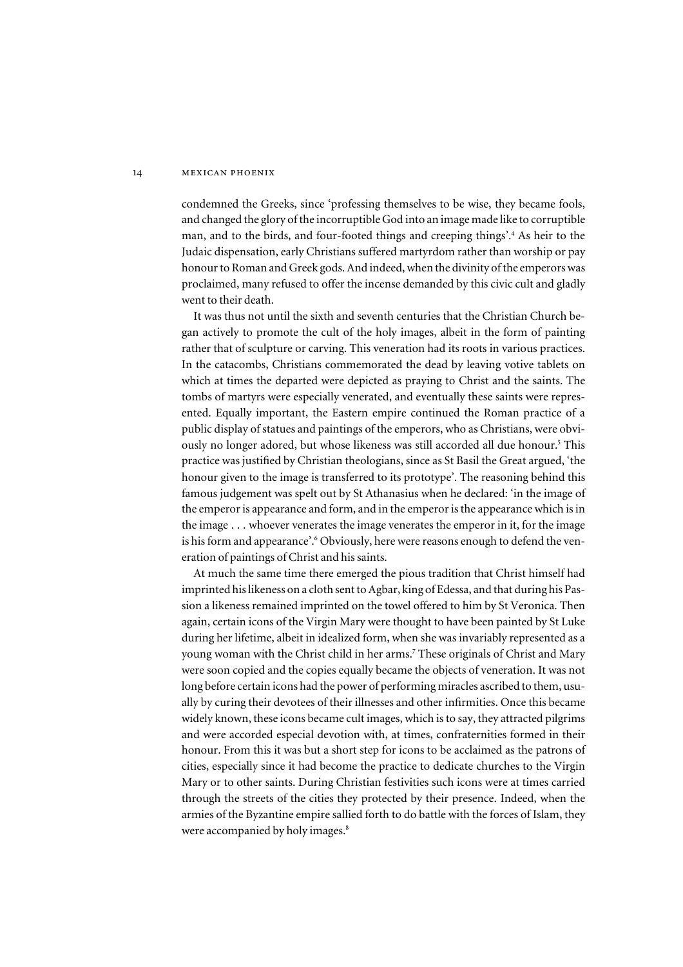condemned the Greeks, since 'professing themselves to be wise, they became fools, and changed the glory of the incorruptible God into an image made like to corruptible man, and to the birds, and four-footed things and creeping things'. 4 As heir to the Judaic dispensation, early Christians suffered martyrdom rather than worship or pay honour to Roman and Greek gods. And indeed, when the divinity of the emperors was proclaimed, many refused to offer the incense demanded by this civic cult and gladly went to their death.

It was thus not until the sixth and seventh centuries that the Christian Church began actively to promote the cult of the holy images, albeit in the form of painting rather that of sculpture or carving. This veneration had its roots in various practices. In the catacombs, Christians commemorated the dead by leaving votive tablets on which at times the departed were depicted as praying to Christ and the saints. The tombs of martyrs were especially venerated, and eventually these saints were represented. Equally important, the Eastern empire continued the Roman practice of a public display of statues and paintings of the emperors, who as Christians, were obviously no longer adored, but whose likeness was still accorded all due honour.<sup>5</sup> This practice was justified by Christian theologians, since as St Basil the Great argued, 'the honour given to the image is transferred to its prototype'. The reasoning behind this famous judgement was spelt out by St Athanasius when he declared: 'in the image of the emperor is appearance and form, and in the emperor is the appearance which is in the image . . . whoever venerates the image venerates the emperor in it, for the image is his form and appearance'.<sup>6</sup> Obviously, here were reasons enough to defend the veneration of paintings of Christ and his saints.

At much the same time there emerged the pious tradition that Christ himself had imprinted his likeness on a cloth sent to Agbar, king of Edessa, and that during his Passion a likeness remained imprinted on the towel offered to him by St Veronica. Then again, certain icons of the Virgin Mary were thought to have been painted by St Luke during her lifetime, albeit in idealized form, when she was invariably represented as a young woman with the Christ child in her arms.<sup>7</sup> These originals of Christ and Mary were soon copied and the copies equally became the objects of veneration. It was not long before certain icons had the power of performing miracles ascribed to them, usually by curing their devotees of their illnesses and other infirmities. Once this became widely known, these icons became cult images, which is to say, they attracted pilgrims and were accorded especial devotion with, at times, confraternities formed in their honour. From this it was but a short step for icons to be acclaimed as the patrons of cities, especially since it had become the practice to dedicate churches to the Virgin Mary or to other saints. During Christian festivities such icons were at times carried through the streets of the cities they protected by their presence. Indeed, when the armies of the Byzantine empire sallied forth to do battle with the forces of Islam, they were accompanied by holy images.<sup>8</sup>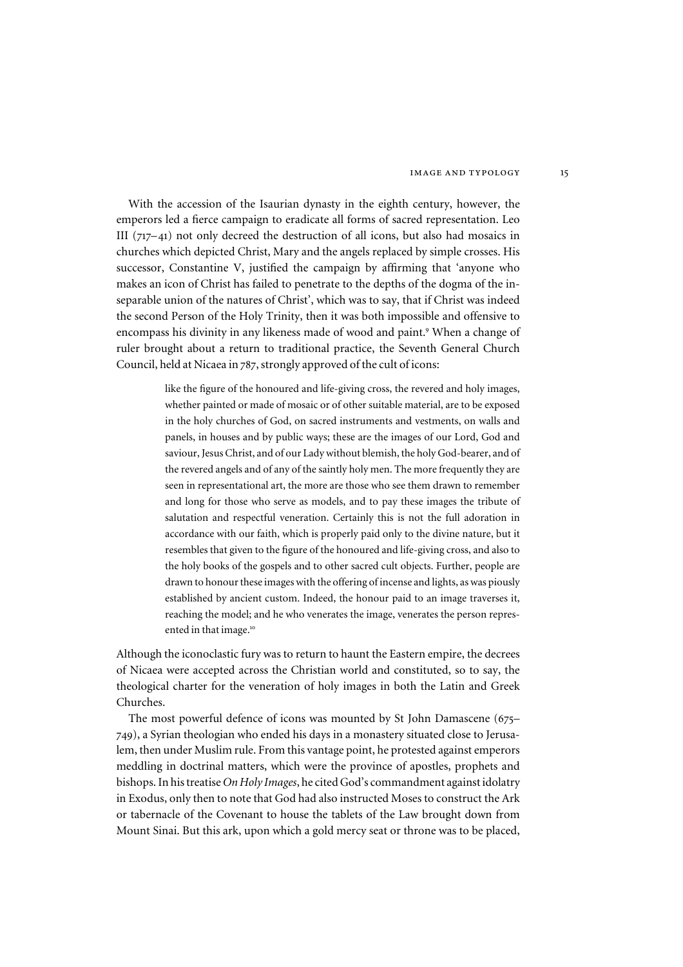With the accession of the Isaurian dynasty in the eighth century, however, the emperors led a fierce campaign to eradicate all forms of sacred representation. Leo III  $(717-41)$  not only decreed the destruction of all icons, but also had mosaics in churches which depicted Christ, Mary and the angels replaced by simple crosses. His successor, Constantine V, justified the campaign by affirming that 'anyone who makes an icon of Christ has failed to penetrate to the depths of the dogma of the inseparable union of the natures of Christ', which was to say, that if Christ was indeed the second Person of the Holy Trinity, then it was both impossible and offensive to encompass his divinity in any likeness made of wood and paint.<sup>9</sup> When a change of ruler brought about a return to traditional practice, the Seventh General Church Council, held at Nicaea in 787, strongly approved of the cult of icons:

> like the figure of the honoured and life-giving cross, the revered and holy images, whether painted or made of mosaic or of other suitable material, are to be exposed in the holy churches of God, on sacred instruments and vestments, on walls and panels, in houses and by public ways; these are the images of our Lord, God and saviour, Jesus Christ, and of our Lady without blemish, the holy God-bearer, and of the revered angels and of any of the saintly holy men. The more frequently they are seen in representational art, the more are those who see them drawn to remember and long for those who serve as models, and to pay these images the tribute of salutation and respectful veneration. Certainly this is not the full adoration in accordance with our faith, which is properly paid only to the divine nature, but it resembles that given to the figure of the honoured and life-giving cross, and also to the holy books of the gospels and to other sacred cult objects. Further, people are drawn to honour these images with the offering of incense and lights, as was piously established by ancient custom. Indeed, the honour paid to an image traverses it, reaching the model; and he who venerates the image, venerates the person represented in that image.<sup>10</sup>

Although the iconoclastic fury was to return to haunt the Eastern empire, the decrees of Nicaea were accepted across the Christian world and constituted, so to say, the theological charter for the veneration of holy images in both the Latin and Greek Churches.

The most powerful defence of icons was mounted by St John Damascene (675– 749), a Syrian theologian who ended his days in a monastery situated close to Jerusalem, then under Muslim rule. From this vantage point, he protested against emperors meddling in doctrinal matters, which were the province of apostles, prophets and bishops. In his treatise *On Holy Images*, he cited God's commandment against idolatry in Exodus, only then to note that God had also instructed Moses to construct the Ark or tabernacle of the Covenant to house the tablets of the Law brought down from Mount Sinai. But this ark, upon which a gold mercy seat or throne was to be placed,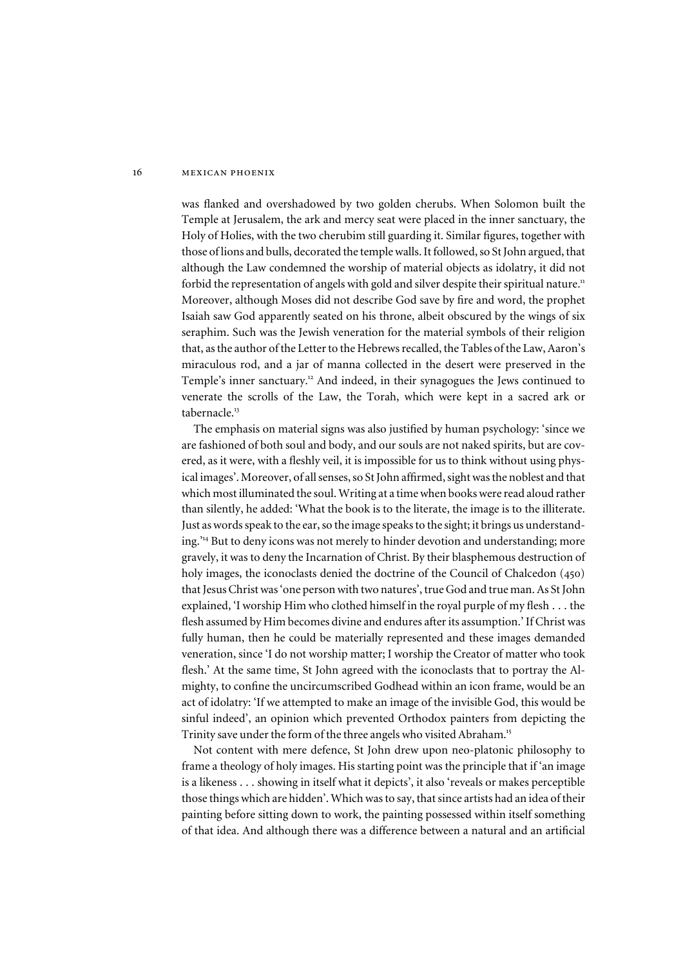was flanked and overshadowed by two golden cherubs. When Solomon built the Temple at Jerusalem, the ark and mercy seat were placed in the inner sanctuary, the Holy of Holies, with the two cherubim still guarding it. Similar figures, together with those of lions and bulls, decorated the temple walls. It followed, so St John argued, that although the Law condemned the worship of material objects as idolatry, it did not forbid the representation of angels with gold and silver despite their spiritual nature.<sup>11</sup> Moreover, although Moses did not describe God save by fire and word, the prophet Isaiah saw God apparently seated on his throne, albeit obscured by the wings of six seraphim. Such was the Jewish veneration for the material symbols of their religion that, as the author of the Letter to the Hebrews recalled, the Tables of the Law, Aaron's miraculous rod, and a jar of manna collected in the desert were preserved in the Temple's inner sanctuary.<sup>12</sup> And indeed, in their synagogues the Jews continued to venerate the scrolls of the Law, the Torah, which were kept in a sacred ark or tabernacle.<sup>13</sup>

The emphasis on material signs was also justified by human psychology: 'since we are fashioned of both soul and body, and our souls are not naked spirits, but are covered, as it were, with a fleshly veil, it is impossible for us to think without using physical images'. Moreover, of all senses, so St John affirmed, sight was the noblest and that which most illuminated the soul. Writing at a time when books were read aloud rather than silently, he added: 'What the book is to the literate, the image is to the illiterate. Just as words speak to the ear, so the image speaks to the sight; it brings us understanding.' <sup>14</sup> But to deny icons was not merely to hinder devotion and understanding; more gravely, it was to deny the Incarnation of Christ. By their blasphemous destruction of holy images, the iconoclasts denied the doctrine of the Council of Chalcedon (450) that Jesus Christ was 'one person with two natures', true God and true man. As St John explained, 'I worship Him who clothed himself in the royal purple of my flesh . . . the flesh assumed by Him becomes divine and endures after its assumption.' If Christ was fully human, then he could be materially represented and these images demanded veneration, since 'I do not worship matter; I worship the Creator of matter who took flesh.' At the same time, St John agreed with the iconoclasts that to portray the Almighty, to confine the uncircumscribed Godhead within an icon frame, would be an act of idolatry: 'If we attempted to make an image of the invisible God, this would be sinful indeed', an opinion which prevented Orthodox painters from depicting the Trinity save under the form of the three angels who visited Abraham.<sup>15</sup>

Not content with mere defence, St John drew upon neo-platonic philosophy to frame a theology of holy images. His starting point was the principle that if 'an image is a likeness . . . showing in itself what it depicts', it also 'reveals or makes perceptible those things which are hidden'. Which was to say, that since artists had an idea of their painting before sitting down to work, the painting possessed within itself something of that idea. And although there was a difference between a natural and an artificial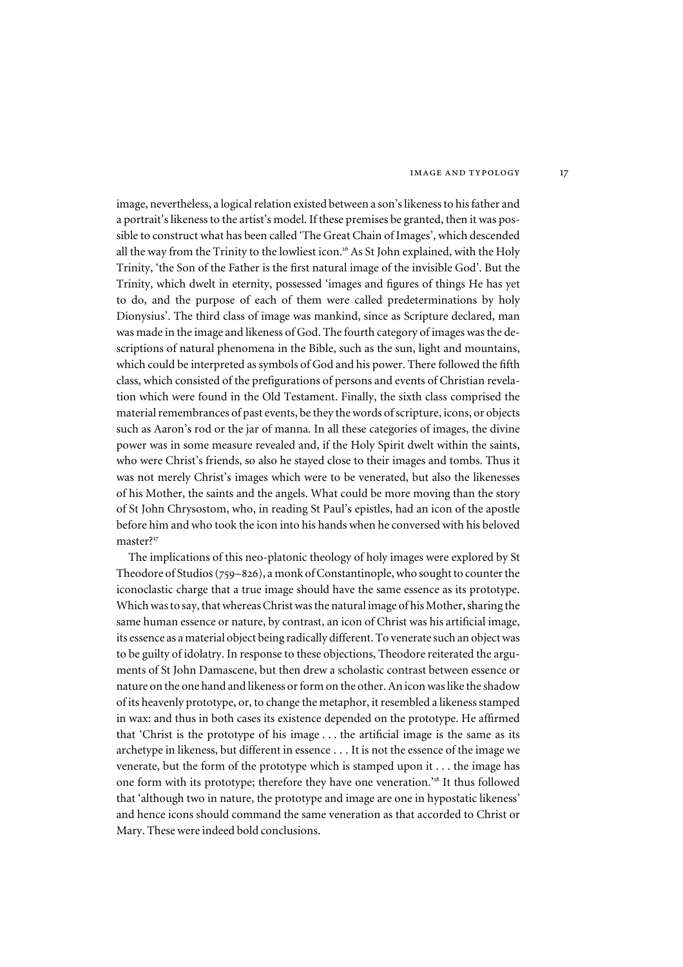image, nevertheless, a logical relation existed between a son's likeness to his father and a portrait's likeness to the artist's model. If these premises be granted, then it was possible to construct what has been called 'The Great Chain of Images', which descended all the way from the Trinity to the lowliest icon.<sup>16</sup> As St John explained, with the Holy Trinity, 'the Son of the Father is the first natural image of the invisible God'. But the Trinity, which dwelt in eternity, possessed 'images and figures of things He has yet to do, and the purpose of each of them were called predeterminations by holy Dionysius'. The third class of image was mankind, since as Scripture declared, man was made in the image and likeness of God. The fourth category of images was the descriptions of natural phenomena in the Bible, such as the sun, light and mountains, which could be interpreted as symbols of God and his power. There followed the fifth class, which consisted of the prefigurations of persons and events of Christian revelation which were found in the Old Testament. Finally, the sixth class comprised the material remembrances of past events, be they the words of scripture, icons, or objects such as Aaron's rod or the jar of manna. In all these categories of images, the divine power was in some measure revealed and, if the Holy Spirit dwelt within the saints, who were Christ's friends, so also he stayed close to their images and tombs. Thus it was not merely Christ's images which were to be venerated, but also the likenesses of his Mother, the saints and the angels. What could be more moving than the story of St John Chrysostom, who, in reading St Paul's epistles, had an icon of the apostle before him and who took the icon into his hands when he conversed with his beloved master?<sup>17</sup>

The implications of this neo-platonic theology of holy images were explored by St Theodore of Studios (759–826), a monk of Constantinople, who sought to counter the iconoclastic charge that a true image should have the same essence as its prototype. Which was to say, that whereas Christ was the natural image of his Mother, sharing the same human essence or nature, by contrast, an icon of Christ was his artificial image, its essence as a material object being radically different. To venerate such an object was to be guilty of idolatry. In response to these objections, Theodore reiterated the arguments of St John Damascene, but then drew a scholastic contrast between essence or nature on the one hand and likeness or form on the other. An icon was like the shadow of its heavenly prototype, or, to change the metaphor, it resembled a likeness stamped in wax: and thus in both cases its existence depended on the prototype. He affirmed that 'Christ is the prototype of his image . . . the artificial image is the same as its archetype in likeness, but different in essence . . . It is not the essence of the image we venerate, but the form of the prototype which is stamped upon it . . . the image has one form with its prototype; therefore they have one veneration.<sup>18</sup> It thus followed that 'although two in nature, the prototype and image are one in hypostatic likeness' and hence icons should command the same veneration as that accorded to Christ or Mary. These were indeed bold conclusions.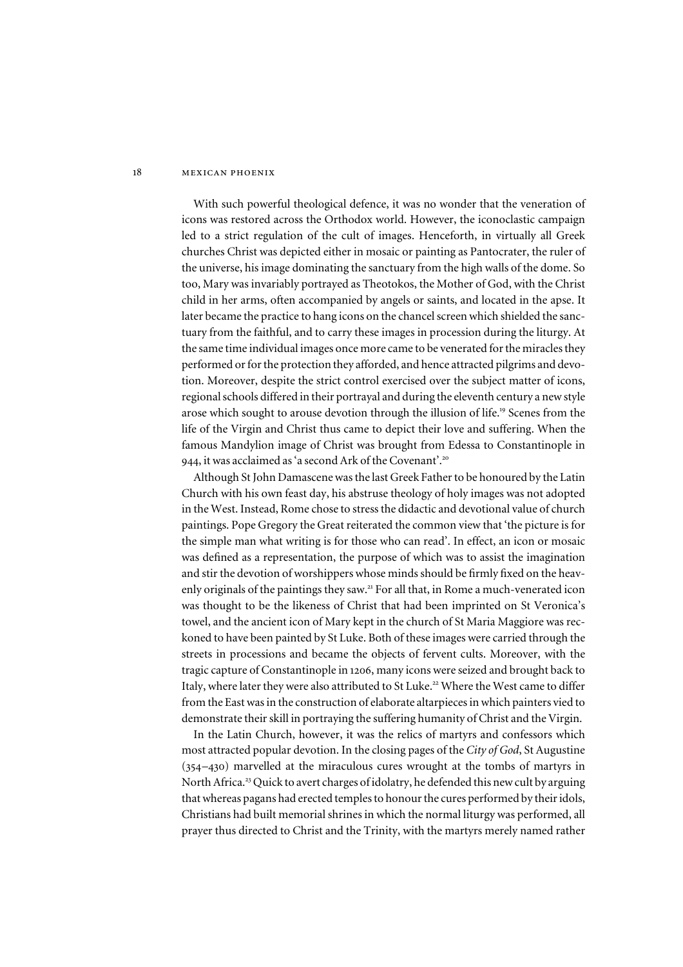With such powerful theological defence, it was no wonder that the veneration of icons was restored across the Orthodox world. However, the iconoclastic campaign led to a strict regulation of the cult of images. Henceforth, in virtually all Greek churches Christ was depicted either in mosaic or painting as Pantocrater, the ruler of the universe, his image dominating the sanctuary from the high walls of the dome. So too, Mary was invariably portrayed as Theotokos, the Mother of God, with the Christ child in her arms, often accompanied by angels or saints, and located in the apse. It later became the practice to hang icons on the chancel screen which shielded the sanctuary from the faithful, and to carry these images in procession during the liturgy. At the same time individual images once more came to be venerated for the miracles they performed or for the protection they afforded, and hence attracted pilgrims and devotion. Moreover, despite the strict control exercised over the subject matter of icons, regional schools differed in their portrayal and during the eleventh century a new style arose which sought to arouse devotion through the illusion of life.<sup>19</sup> Scenes from the life of the Virgin and Christ thus came to depict their love and suffering. When the famous Mandylion image of Christ was brought from Edessa to Constantinople in 944, it was acclaimed as 'a second Ark of the Covenant'. 20

Although St John Damascene was the last Greek Father to be honoured by the Latin Church with his own feast day, his abstruse theology of holy images was not adopted in the West. Instead, Rome chose to stress the didactic and devotional value of church paintings. Pope Gregory the Great reiterated the common view that 'the picture is for the simple man what writing is for those who can read'. In effect, an icon or mosaic was defined as a representation, the purpose of which was to assist the imagination and stir the devotion of worshippers whose minds should be firmly fixed on the heavenly originals of the paintings they saw.<sup>21</sup> For all that, in Rome a much-venerated icon was thought to be the likeness of Christ that had been imprinted on St Veronica's towel, and the ancient icon of Mary kept in the church of St Maria Maggiore was reckoned to have been painted by St Luke. Both of these images were carried through the streets in processions and became the objects of fervent cults. Moreover, with the tragic capture of Constantinople in 1206, many icons were seized and brought back to Italy, where later they were also attributed to St Luke.<sup>22</sup> Where the West came to differ from the East was in the construction of elaborate altarpieces in which painters vied to demonstrate their skill in portraying the suffering humanity of Christ and the Virgin.

In the Latin Church, however, it was the relics of martyrs and confessors which most attracted popular devotion. In the closing pages of the *City of God*, St Augustine (354–430) marvelled at the miraculous cures wrought at the tombs of martyrs in North Africa.<sup>23</sup> Quick to avert charges of idolatry, he defended this new cult by arguing that whereas pagans had erected temples to honour the cures performed by their idols, Christians had built memorial shrines in which the normal liturgy was performed, all prayer thus directed to Christ and the Trinity, with the martyrs merely named rather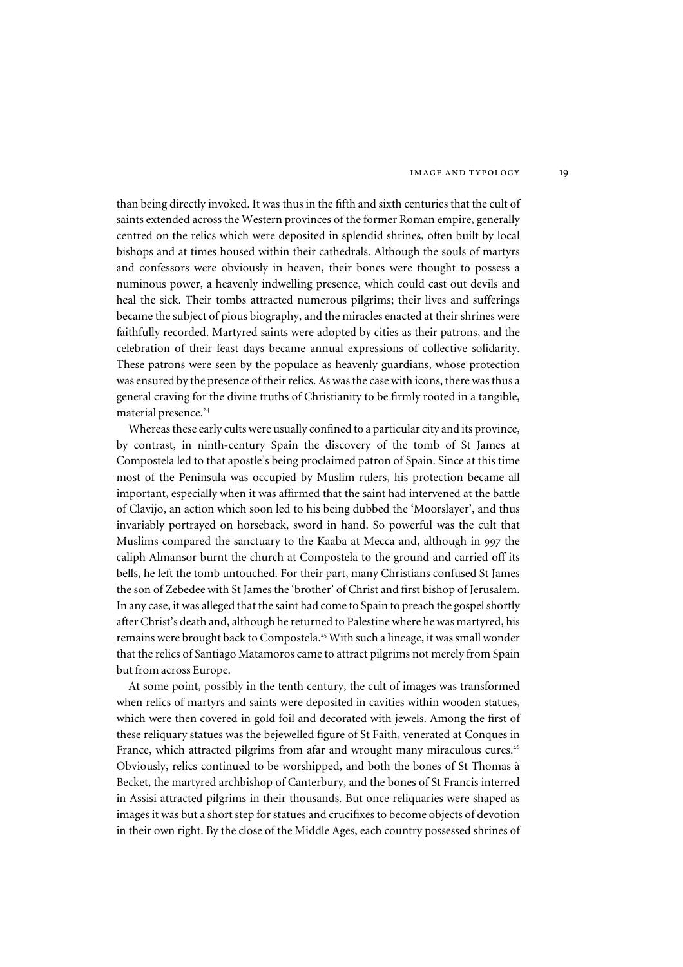than being directly invoked. It was thus in the fifth and sixth centuries that the cult of saints extended across the Western provinces of the former Roman empire, generally centred on the relics which were deposited in splendid shrines, often built by local bishops and at times housed within their cathedrals. Although the souls of martyrs and confessors were obviously in heaven, their bones were thought to possess a numinous power, a heavenly indwelling presence, which could cast out devils and heal the sick. Their tombs attracted numerous pilgrims; their lives and sufferings became the subject of pious biography, and the miracles enacted at their shrines were faithfully recorded. Martyred saints were adopted by cities as their patrons, and the celebration of their feast days became annual expressions of collective solidarity. These patrons were seen by the populace as heavenly guardians, whose protection was ensured by the presence of their relics. As was the case with icons, there was thus a general craving for the divine truths of Christianity to be firmly rooted in a tangible, material presence.<sup>24</sup>

Whereas these early cults were usually confined to a particular city and its province, by contrast, in ninth-century Spain the discovery of the tomb of St James at Compostela led to that apostle's being proclaimed patron of Spain. Since at this time most of the Peninsula was occupied by Muslim rulers, his protection became all important, especially when it was affirmed that the saint had intervened at the battle of Clavijo, an action which soon led to his being dubbed the 'Moorslayer', and thus invariably portrayed on horseback, sword in hand. So powerful was the cult that Muslims compared the sanctuary to the Kaaba at Mecca and, although in 997 the caliph Almansor burnt the church at Compostela to the ground and carried off its bells, he left the tomb untouched. For their part, many Christians confused St James the son of Zebedee with St James the 'brother' of Christ and first bishop of Jerusalem. In any case, it was alleged that the saint had come to Spain to preach the gospel shortly after Christ's death and, although he returned to Palestine where he was martyred, his remains were brought back to Compostela.<sup>25</sup> With such a lineage, it was small wonder that the relics of Santiago Matamoros came to attract pilgrims not merely from Spain but from across Europe.

At some point, possibly in the tenth century, the cult of images was transformed when relics of martyrs and saints were deposited in cavities within wooden statues, which were then covered in gold foil and decorated with jewels. Among the first of these reliquary statues was the bejewelled figure of St Faith, venerated at Conques in France, which attracted pilgrims from afar and wrought many miraculous cures.<sup>26</sup> Obviously, relics continued to be worshipped, and both the bones of St Thomas à Becket, the martyred archbishop of Canterbury, and the bones of St Francis interred in Assisi attracted pilgrims in their thousands. But once reliquaries were shaped as images it was but a short step for statues and crucifixes to become objects of devotion in their own right. By the close of the Middle Ages, each country possessed shrines of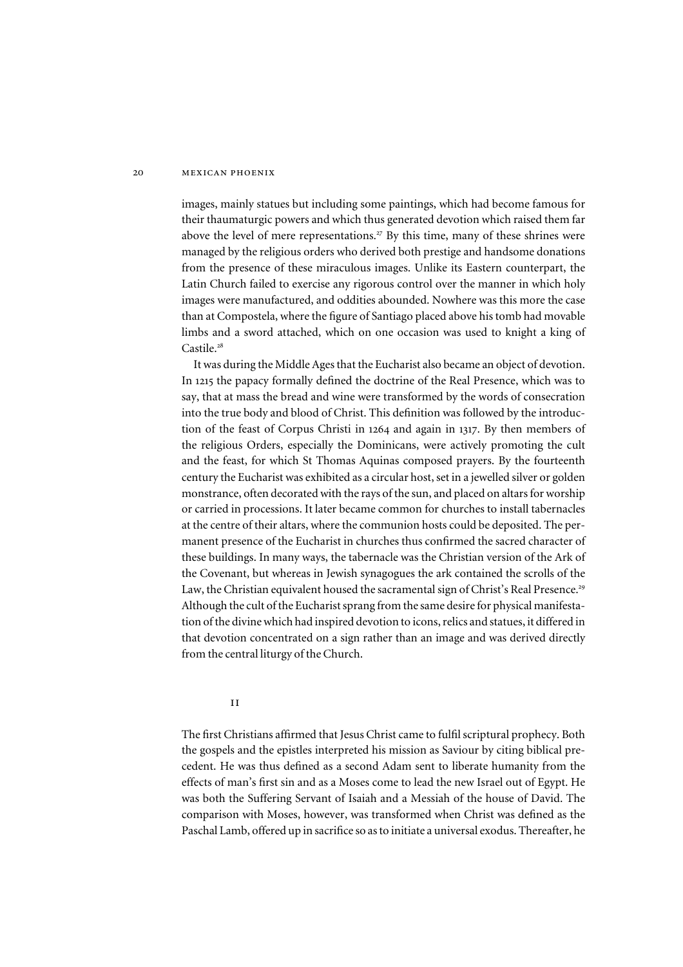#### 20 **MEXICAN PHOENIX**

images, mainly statues but including some paintings, which had become famous for their thaumaturgic powers and which thus generated devotion which raised them far above the level of mere representations.<sup>27</sup> By this time, many of these shrines were managed by the religious orders who derived both prestige and handsome donations from the presence of these miraculous images. Unlike its Eastern counterpart, the Latin Church failed to exercise any rigorous control over the manner in which holy images were manufactured, and oddities abounded. Nowhere was this more the case than at Compostela, where the figure of Santiago placed above his tomb had movable limbs and a sword attached, which on one occasion was used to knight a king of Castile.<sup>28</sup>

It was during the Middle Ages that the Eucharist also became an object of devotion. In 1215 the papacy formally defined the doctrine of the Real Presence, which was to say, that at mass the bread and wine were transformed by the words of consecration into the true body and blood of Christ. This definition was followed by the introduction of the feast of Corpus Christi in 1264 and again in 1317. By then members of the religious Orders, especially the Dominicans, were actively promoting the cult and the feast, for which St Thomas Aquinas composed prayers. By the fourteenth century the Eucharist was exhibited as a circular host, set in a jewelled silver or golden monstrance, often decorated with the rays of the sun, and placed on altars for worship or carried in processions. It later became common for churches to install tabernacles at the centre of their altars, where the communion hosts could be deposited. The permanent presence of the Eucharist in churches thus confirmed the sacred character of these buildings. In many ways, the tabernacle was the Christian version of the Ark of the Covenant, but whereas in Jewish synagogues the ark contained the scrolls of the Law, the Christian equivalent housed the sacramental sign of Christ's Real Presence.<sup>29</sup> Although the cult of the Eucharist sprang from the same desire for physical manifestation of the divine which had inspired devotion to icons, relics and statues, it differed in that devotion concentrated on a sign rather than an image and was derived directly from the central liturgy of the Church.

ii

The first Christians affirmed that Jesus Christ came to fulfil scriptural prophecy. Both the gospels and the epistles interpreted his mission as Saviour by citing biblical precedent. He was thus defined as a second Adam sent to liberate humanity from the effects of man's first sin and as a Moses come to lead the new Israel out of Egypt. He was both the Suffering Servant of Isaiah and a Messiah of the house of David. The comparison with Moses, however, was transformed when Christ was defined as the Paschal Lamb, offered up in sacrifice so as to initiate a universal exodus. Thereafter, he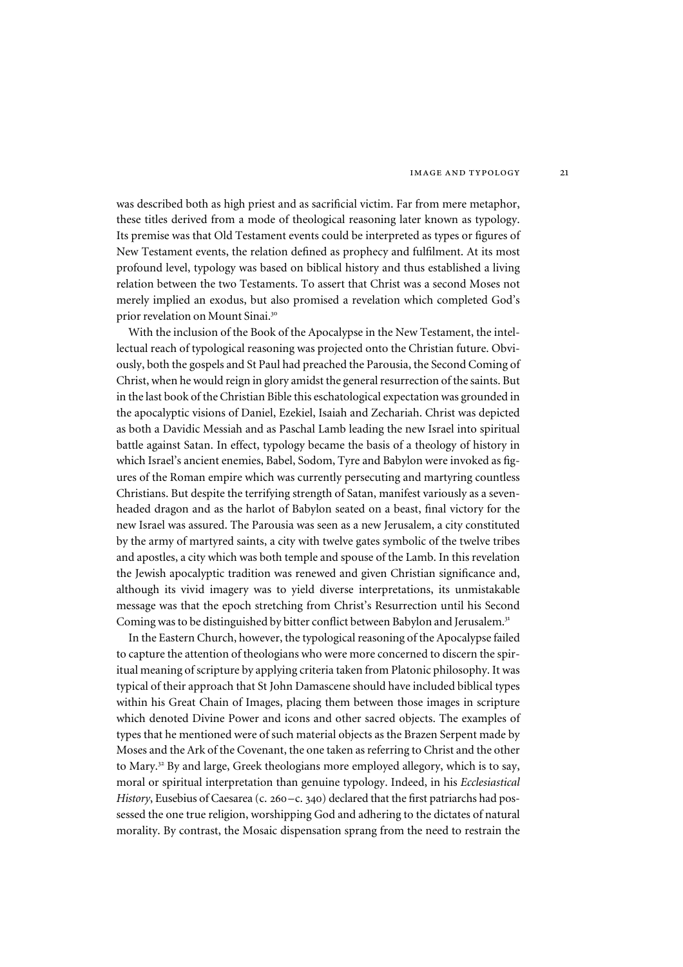was described both as high priest and as sacrificial victim. Far from mere metaphor, these titles derived from a mode of theological reasoning later known as typology. Its premise was that Old Testament events could be interpreted as types or figures of New Testament events, the relation defined as prophecy and fulfilment. At its most profound level, typology was based on biblical history and thus established a living relation between the two Testaments. To assert that Christ was a second Moses not merely implied an exodus, but also promised a revelation which completed God's prior revelation on Mount Sinai.<sup>30</sup>

With the inclusion of the Book of the Apocalypse in the New Testament, the intellectual reach of typological reasoning was projected onto the Christian future. Obviously, both the gospels and St Paul had preached the Parousia, the Second Coming of Christ, when he would reign in glory amidst the general resurrection of the saints. But in the last book of the Christian Bible this eschatological expectation was grounded in the apocalyptic visions of Daniel, Ezekiel, Isaiah and Zechariah. Christ was depicted as both a Davidic Messiah and as Paschal Lamb leading the new Israel into spiritual battle against Satan. In effect, typology became the basis of a theology of history in which Israel's ancient enemies, Babel, Sodom, Tyre and Babylon were invoked as figures of the Roman empire which was currently persecuting and martyring countless Christians. But despite the terrifying strength of Satan, manifest variously as a sevenheaded dragon and as the harlot of Babylon seated on a beast, final victory for the new Israel was assured. The Parousia was seen as a new Jerusalem, a city constituted by the army of martyred saints, a city with twelve gates symbolic of the twelve tribes and apostles, a city which was both temple and spouse of the Lamb. In this revelation the Jewish apocalyptic tradition was renewed and given Christian significance and, although its vivid imagery was to yield diverse interpretations, its unmistakable message was that the epoch stretching from Christ's Resurrection until his Second Coming was to be distinguished by bitter conflict between Babylon and Jerusalem.<sup>31</sup>

In the Eastern Church, however, the typological reasoning of the Apocalypse failed to capture the attention of theologians who were more concerned to discern the spiritual meaning of scripture by applying criteria taken from Platonic philosophy. It was typical of their approach that St John Damascene should have included biblical types within his Great Chain of Images, placing them between those images in scripture which denoted Divine Power and icons and other sacred objects. The examples of types that he mentioned were of such material objects as the Brazen Serpent made by Moses and the Ark of the Covenant, the one taken as referring to Christ and the other to Mary.<sup>32</sup> By and large, Greek theologians more employed allegory, which is to say, moral or spiritual interpretation than genuine typology. Indeed, in his *Ecclesiastical* History, Eusebius of Caesarea (c. 260–c. 340) declared that the first patriarchs had possessed the one true religion, worshipping God and adhering to the dictates of natural morality. By contrast, the Mosaic dispensation sprang from the need to restrain the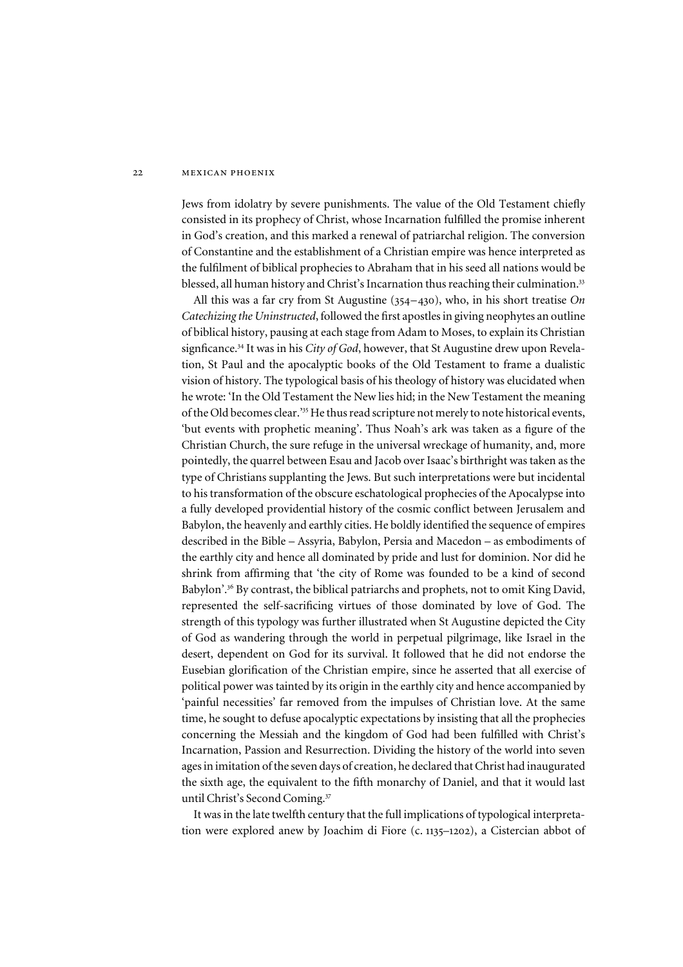#### 22 MEXICAN PHOENIX

Jews from idolatry by severe punishments. The value of the Old Testament chiefly consisted in its prophecy of Christ, whose Incarnation fulfilled the promise inherent in God's creation, and this marked a renewal of patriarchal religion. The conversion of Constantine and the establishment of a Christian empire was hence interpreted as the fulfilment of biblical prophecies to Abraham that in his seed all nations would be blessed, all human history and Christ's Incarnation thus reaching their culmination.<sup>33</sup>

All this was a far cry from St Augustine (354–430), who, in his short treatise *On Catechizing the Uninstructed*, followed the first apostles in giving neophytes an outline of biblical history, pausing at each stage from Adam to Moses, to explain its Christian signficance.<sup>34</sup> It was in his *City of God*, however, that St Augustine drew upon Revelation, St Paul and the apocalyptic books of the Old Testament to frame a dualistic vision of history. The typological basis of his theology of history was elucidated when he wrote: 'In the Old Testament the New lies hid; in the New Testament the meaning of the Old becomes clear.' <sup>35</sup> He thus read scripture not merely to note historical events, 'but events with prophetic meaning'. Thus Noah's ark was taken as a figure of the Christian Church, the sure refuge in the universal wreckage of humanity, and, more pointedly, the quarrel between Esau and Jacob over Isaac's birthright was taken as the type of Christians supplanting the Jews. But such interpretations were but incidental to his transformation of the obscure eschatological prophecies of the Apocalypse into a fully developed providential history of the cosmic conflict between Jerusalem and Babylon, the heavenly and earthly cities. He boldly identified the sequence of empires described in the Bible – Assyria, Babylon, Persia and Macedon – as embodiments of the earthly city and hence all dominated by pride and lust for dominion. Nor did he shrink from affirming that 'the city of Rome was founded to be a kind of second Babylon'.<sup>36</sup> By contrast, the biblical patriarchs and prophets, not to omit King David, represented the self-sacrificing virtues of those dominated by love of God. The strength of this typology was further illustrated when St Augustine depicted the City of God as wandering through the world in perpetual pilgrimage, like Israel in the desert, dependent on God for its survival. It followed that he did not endorse the Eusebian glorification of the Christian empire, since he asserted that all exercise of political power was tainted by its origin in the earthly city and hence accompanied by 'painful necessities' far removed from the impulses of Christian love. At the same time, he sought to defuse apocalyptic expectations by insisting that all the prophecies concerning the Messiah and the kingdom of God had been fulfilled with Christ's Incarnation, Passion and Resurrection. Dividing the history of the world into seven ages in imitation of the seven days of creation, he declared that Christ had inaugurated the sixth age, the equivalent to the fifth monarchy of Daniel, and that it would last until Christ's Second Coming.<sup>37</sup>

It was in the late twelfth century that the full implications of typological interpretation were explored anew by Joachim di Fiore (c. 1135–1202), a Cistercian abbot of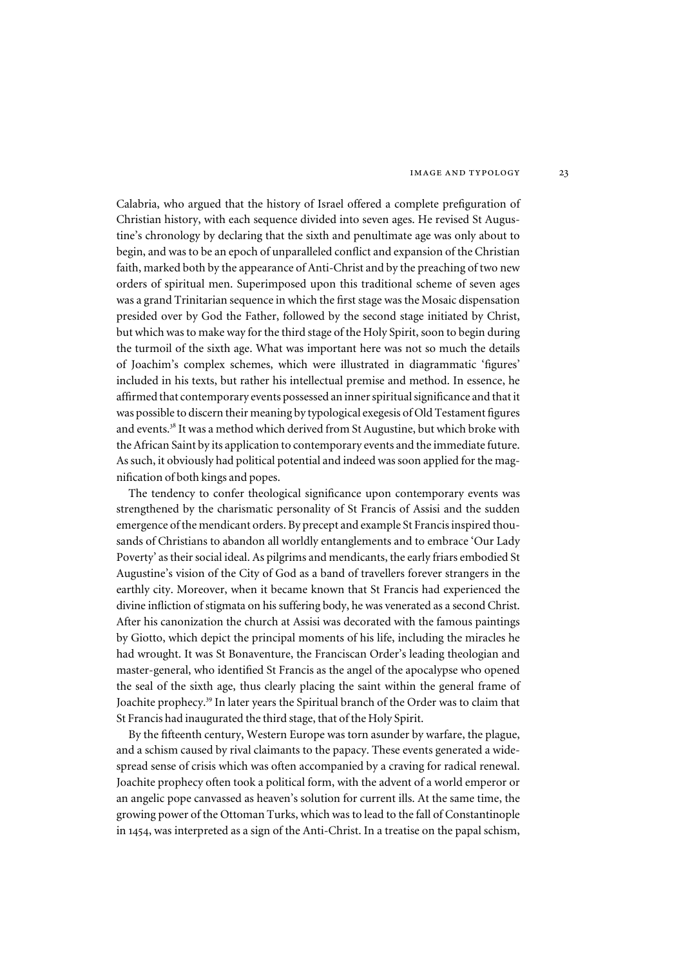Calabria, who argued that the history of Israel offered a complete prefiguration of Christian history, with each sequence divided into seven ages. He revised St Augustine's chronology by declaring that the sixth and penultimate age was only about to begin, and was to be an epoch of unparalleled conflict and expansion of the Christian faith, marked both by the appearance of Anti-Christ and by the preaching of two new orders of spiritual men. Superimposed upon this traditional scheme of seven ages was a grand Trinitarian sequence in which the first stage was the Mosaic dispensation presided over by God the Father, followed by the second stage initiated by Christ, but which was to make way for the third stage of the Holy Spirit, soon to begin during the turmoil of the sixth age. What was important here was not so much the details of Joachim's complex schemes, which were illustrated in diagrammatic 'figures' included in his texts, but rather his intellectual premise and method. In essence, he affirmed that contemporary events possessed an inner spiritual significance and that it was possible to discern their meaning by typological exegesis of Old Testament figures and events.<sup>38</sup> It was a method which derived from St Augustine, but which broke with the African Saint by its application to contemporary events and the immediate future. As such, it obviously had political potential and indeed was soon applied for the magnification of both kings and popes.

The tendency to confer theological significance upon contemporary events was strengthened by the charismatic personality of St Francis of Assisi and the sudden emergence of the mendicant orders. By precept and example St Francis inspired thousands of Christians to abandon all worldly entanglements and to embrace 'Our Lady Poverty' as their social ideal. As pilgrims and mendicants, the early friars embodied St Augustine's vision of the City of God as a band of travellers forever strangers in the earthly city. Moreover, when it became known that St Francis had experienced the divine infliction of stigmata on his suffering body, he was venerated as a second Christ. After his canonization the church at Assisi was decorated with the famous paintings by Giotto, which depict the principal moments of his life, including the miracles he had wrought. It was St Bonaventure, the Franciscan Order's leading theologian and master-general, who identified St Francis as the angel of the apocalypse who opened the seal of the sixth age, thus clearly placing the saint within the general frame of Joachite prophecy.<sup>39</sup> In later years the Spiritual branch of the Order was to claim that St Francis had inaugurated the third stage, that of the Holy Spirit.

By the fifteenth century, Western Europe was torn asunder by warfare, the plague, and a schism caused by rival claimants to the papacy. These events generated a widespread sense of crisis which was often accompanied by a craving for radical renewal. Joachite prophecy often took a political form, with the advent of a world emperor or an angelic pope canvassed as heaven's solution for current ills. At the same time, the growing power of the Ottoman Turks, which was to lead to the fall of Constantinople in 1454, was interpreted as a sign of the Anti-Christ. In a treatise on the papal schism,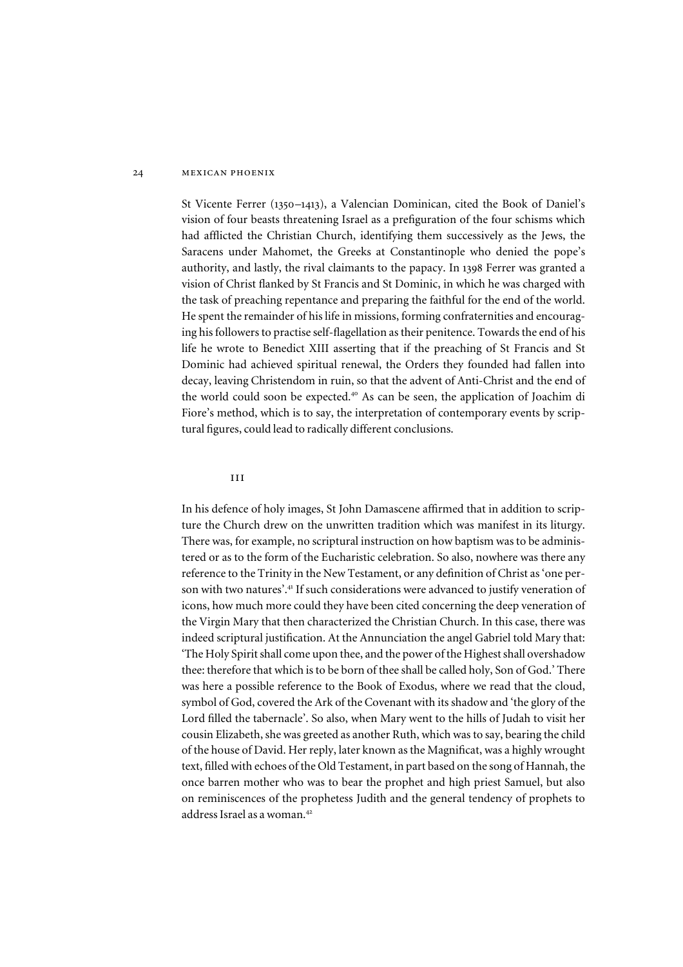St Vicente Ferrer (1350–1413), a Valencian Dominican, cited the Book of Daniel's vision of four beasts threatening Israel as a prefiguration of the four schisms which had afflicted the Christian Church, identifying them successively as the Jews, the Saracens under Mahomet, the Greeks at Constantinople who denied the pope's authority, and lastly, the rival claimants to the papacy. In 1398 Ferrer was granted a vision of Christ flanked by St Francis and St Dominic, in which he was charged with the task of preaching repentance and preparing the faithful for the end of the world. He spent the remainder of his life in missions, forming confraternities and encouraging his followers to practise self-flagellation as their penitence. Towards the end of his life he wrote to Benedict XIII asserting that if the preaching of St Francis and St Dominic had achieved spiritual renewal, the Orders they founded had fallen into decay, leaving Christendom in ruin, so that the advent of Anti-Christ and the end of the world could soon be expected.<sup>40</sup> As can be seen, the application of Joachim di Fiore's method, which is to say, the interpretation of contemporary events by scriptural figures, could lead to radically different conclusions.

#### iii

In his defence of holy images, St John Damascene affirmed that in addition to scripture the Church drew on the unwritten tradition which was manifest in its liturgy. There was, for example, no scriptural instruction on how baptism was to be administered or as to the form of the Eucharistic celebration. So also, nowhere was there any reference to the Trinity in the New Testament, or any definition of Christ as 'one person with two natures'. <sup>41</sup> If such considerations were advanced to justify veneration of icons, how much more could they have been cited concerning the deep veneration of the Virgin Mary that then characterized the Christian Church. In this case, there was indeed scriptural justification. At the Annunciation the angel Gabriel told Mary that: 'The Holy Spirit shall come upon thee, and the power of the Highest shall overshadow thee: therefore that which is to be born of thee shall be called holy, Son of God.' There was here a possible reference to the Book of Exodus, where we read that the cloud, symbol of God, covered the Ark of the Covenant with its shadow and 'the glory of the Lord filled the tabernacle'. So also, when Mary went to the hills of Judah to visit her cousin Elizabeth, she was greeted as another Ruth, which was to say, bearing the child of the house of David. Her reply, later known as the Magnificat, was a highly wrought text, filled with echoes of the Old Testament, in part based on the song of Hannah, the once barren mother who was to bear the prophet and high priest Samuel, but also on reminiscences of the prophetess Judith and the general tendency of prophets to address Israel as a woman.<sup>42</sup>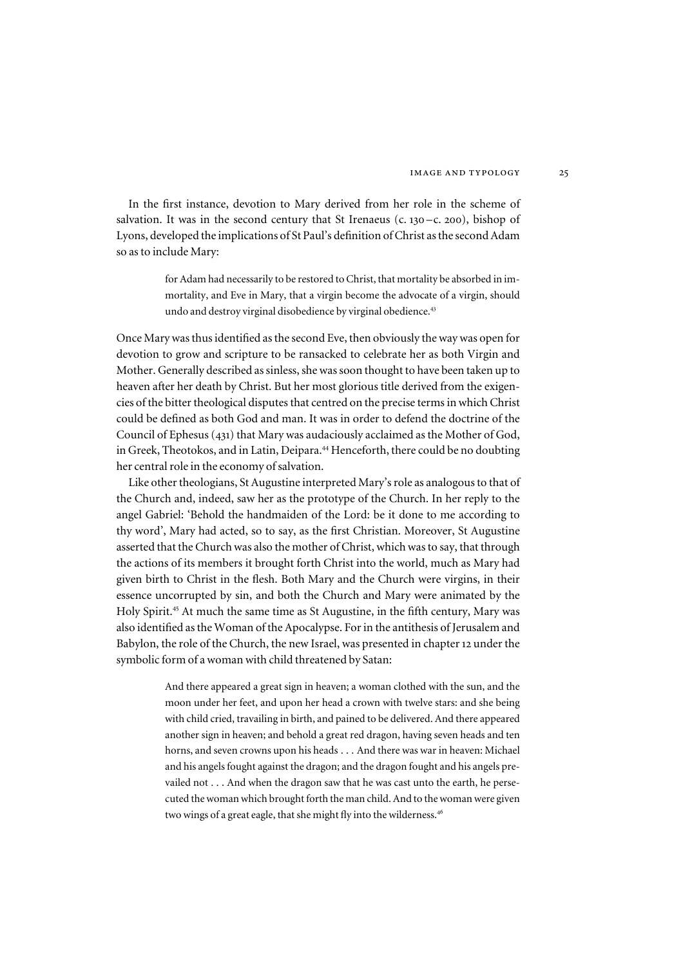In the first instance, devotion to Mary derived from her role in the scheme of salvation. It was in the second century that St Irenaeus (c.  $130 - c$ . 200), bishop of Lyons, developed the implications of St Paul's definition of Christ as the second Adam so as to include Mary:

> for Adam had necessarily to be restored to Christ, that mortality be absorbed in immortality, and Eve in Mary, that a virgin become the advocate of a virgin, should undo and destroy virginal disobedience by virginal obedience.<sup>43</sup>

Once Mary was thus identified as the second Eve, then obviously the way was open for devotion to grow and scripture to be ransacked to celebrate her as both Virgin and Mother. Generally described as sinless, she was soon thought to have been taken up to heaven after her death by Christ. But her most glorious title derived from the exigencies of the bitter theological disputes that centred on the precise terms in which Christ could be defined as both God and man. It was in order to defend the doctrine of the Council of Ephesus (431) that Mary was audaciously acclaimed as the Mother of God, in Greek, Theotokos, and in Latin, Deipara.<sup>44</sup> Henceforth, there could be no doubting her central role in the economy of salvation.

Like other theologians, St Augustine interpreted Mary's role as analogous to that of the Church and, indeed, saw her as the prototype of the Church. In her reply to the angel Gabriel: 'Behold the handmaiden of the Lord: be it done to me according to thy word', Mary had acted, so to say, as the first Christian. Moreover, St Augustine asserted that the Church was also the mother of Christ, which was to say, that through the actions of its members it brought forth Christ into the world, much as Mary had given birth to Christ in the flesh. Both Mary and the Church were virgins, in their essence uncorrupted by sin, and both the Church and Mary were animated by the Holy Spirit.<sup>45</sup> At much the same time as St Augustine, in the fifth century, Mary was also identified as the Woman of the Apocalypse. For in the antithesis of Jerusalem and Babylon, the role of the Church, the new Israel, was presented in chapter 12 under the symbolic form of a woman with child threatened by Satan:

> And there appeared a great sign in heaven; a woman clothed with the sun, and the moon under her feet, and upon her head a crown with twelve stars: and she being with child cried, travailing in birth, and pained to be delivered. And there appeared another sign in heaven; and behold a great red dragon, having seven heads and ten horns, and seven crowns upon his heads . . . And there was war in heaven: Michael and his angels fought against the dragon; and the dragon fought and his angels prevailed not . . . And when the dragon saw that he was cast unto the earth, he persecuted the woman which brought forth the man child. And to the woman were given two wings of a great eagle, that she might fly into the wilderness.<sup>46</sup>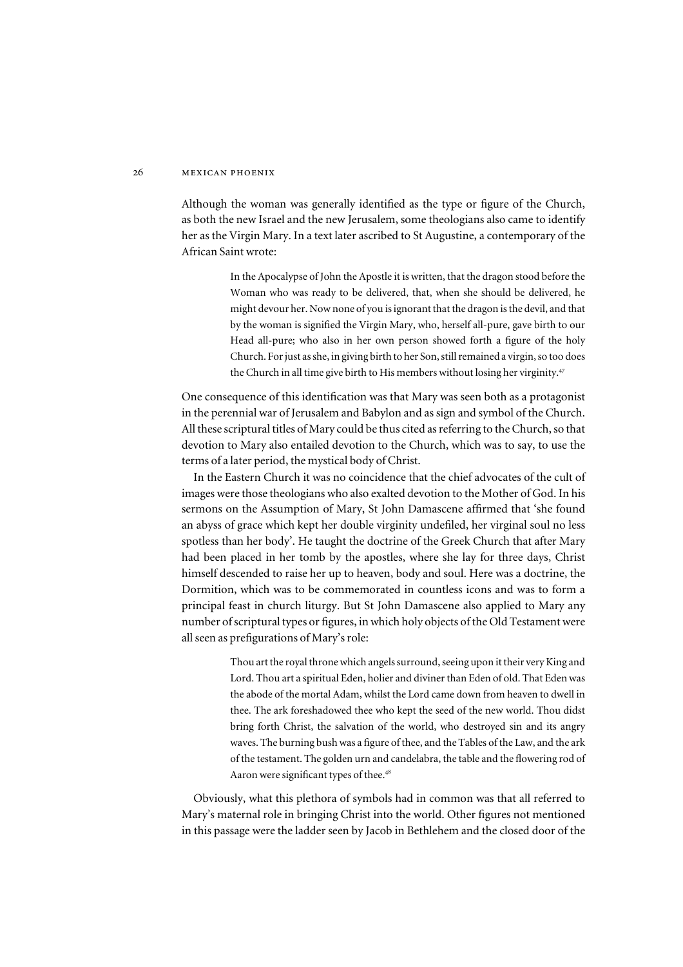Although the woman was generally identified as the type or figure of the Church, as both the new Israel and the new Jerusalem, some theologians also came to identify her as the Virgin Mary. In a text later ascribed to St Augustine, a contemporary of the African Saint wrote:

> In the Apocalypse of John the Apostle it is written, that the dragon stood before the Woman who was ready to be delivered, that, when she should be delivered, he might devour her. Now none of you is ignorant that the dragon is the devil, and that by the woman is signified the Virgin Mary, who, herself all-pure, gave birth to our Head all-pure; who also in her own person showed forth a figure of the holy Church. For just as she, in giving birth to her Son, still remained a virgin, so too does the Church in all time give birth to His members without losing her virginity.<sup>47</sup>

One consequence of this identification was that Mary was seen both as a protagonist in the perennial war of Jerusalem and Babylon and as sign and symbol of the Church. All these scriptural titles of Mary could be thus cited as referring to the Church, so that devotion to Mary also entailed devotion to the Church, which was to say, to use the terms of a later period, the mystical body of Christ.

In the Eastern Church it was no coincidence that the chief advocates of the cult of images were those theologians who also exalted devotion to the Mother of God. In his sermons on the Assumption of Mary, St John Damascene affirmed that 'she found an abyss of grace which kept her double virginity undefiled, her virginal soul no less spotless than her body'. He taught the doctrine of the Greek Church that after Mary had been placed in her tomb by the apostles, where she lay for three days, Christ himself descended to raise her up to heaven, body and soul. Here was a doctrine, the Dormition, which was to be commemorated in countless icons and was to form a principal feast in church liturgy. But St John Damascene also applied to Mary any number of scriptural types or figures, in which holy objects of the Old Testament were all seen as prefigurations of Mary's role:

> Thou art the royal throne which angels surround, seeing upon it their very King and Lord. Thou art a spiritual Eden, holier and diviner than Eden of old. That Eden was the abode of the mortal Adam, whilst the Lord came down from heaven to dwell in thee. The ark foreshadowed thee who kept the seed of the new world. Thou didst bring forth Christ, the salvation of the world, who destroyed sin and its angry waves. The burning bush was a figure of thee, and the Tables of the Law, and the ark of the testament. The golden urn and candelabra, the table and the flowering rod of Aaron were significant types of thee.<sup>48</sup>

Obviously, what this plethora of symbols had in common was that all referred to Mary's maternal role in bringing Christ into the world. Other figures not mentioned in this passage were the ladder seen by Jacob in Bethlehem and the closed door of the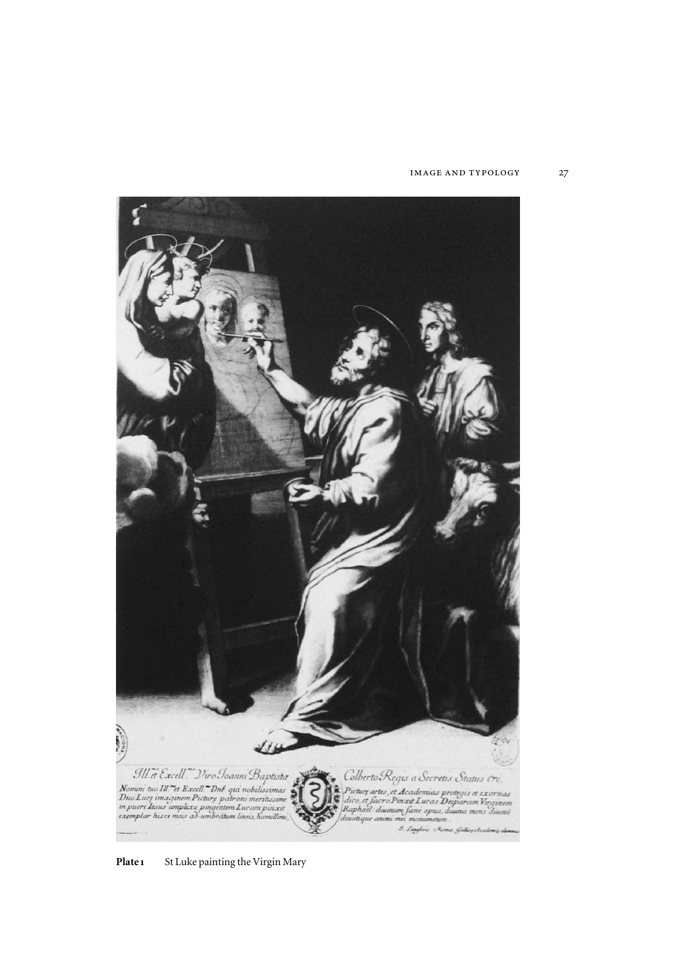#### image and typology 27

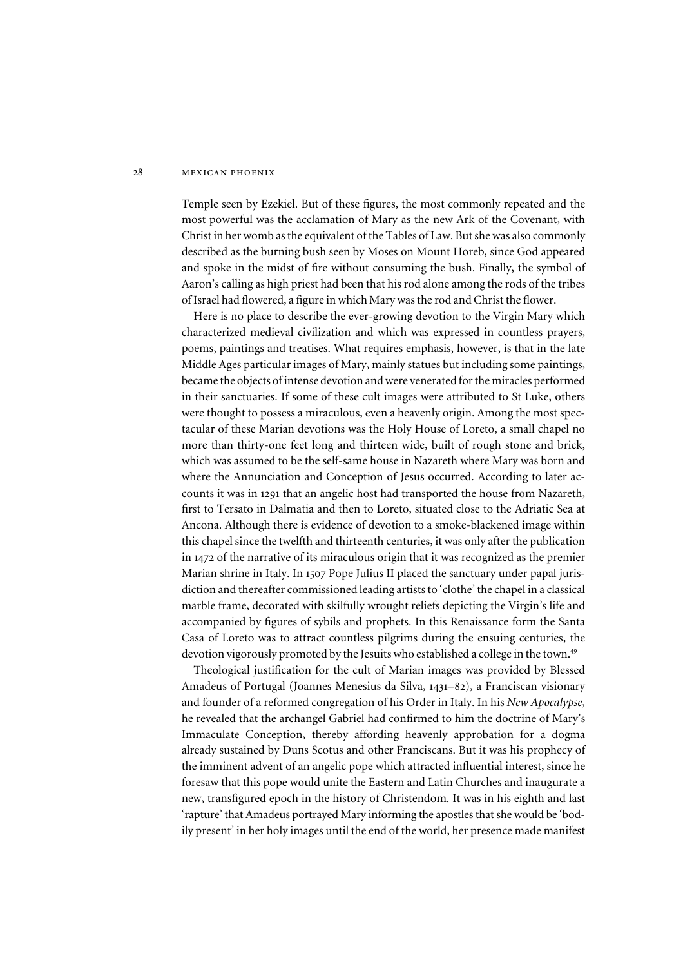Temple seen by Ezekiel. But of these figures, the most commonly repeated and the most powerful was the acclamation of Mary as the new Ark of the Covenant, with Christ in her womb as the equivalent of the Tables of Law. But she was also commonly described as the burning bush seen by Moses on Mount Horeb, since God appeared and spoke in the midst of fire without consuming the bush. Finally, the symbol of Aaron's calling as high priest had been that his rod alone among the rods of the tribes of Israel had flowered, a figure in which Mary was the rod and Christ the flower.

Here is no place to describe the ever-growing devotion to the Virgin Mary which characterized medieval civilization and which was expressed in countless prayers, poems, paintings and treatises. What requires emphasis, however, is that in the late Middle Ages particular images of Mary, mainly statues but including some paintings, became the objects of intense devotion and were venerated for the miracles performed in their sanctuaries. If some of these cult images were attributed to St Luke, others were thought to possess a miraculous, even a heavenly origin. Among the most spectacular of these Marian devotions was the Holy House of Loreto, a small chapel no more than thirty-one feet long and thirteen wide, built of rough stone and brick, which was assumed to be the self-same house in Nazareth where Mary was born and where the Annunciation and Conception of Jesus occurred. According to later accounts it was in 1291 that an angelic host had transported the house from Nazareth, first to Tersato in Dalmatia and then to Loreto, situated close to the Adriatic Sea at Ancona. Although there is evidence of devotion to a smoke-blackened image within this chapel since the twelfth and thirteenth centuries, it was only after the publication in 1472 of the narrative of its miraculous origin that it was recognized as the premier Marian shrine in Italy. In 1507 Pope Julius II placed the sanctuary under papal jurisdiction and thereafter commissioned leading artists to 'clothe' the chapel in a classical marble frame, decorated with skilfully wrought reliefs depicting the Virgin's life and accompanied by figures of sybils and prophets. In this Renaissance form the Santa Casa of Loreto was to attract countless pilgrims during the ensuing centuries, the devotion vigorously promoted by the Jesuits who established a college in the town.<sup>49</sup>

Theological justification for the cult of Marian images was provided by Blessed Amadeus of Portugal (Joannes Menesius da Silva, 1431–82), a Franciscan visionary and founder of a reformed congregation of his Order in Italy. In his *New Apocalypse*, he revealed that the archangel Gabriel had confirmed to him the doctrine of Mary's Immaculate Conception, thereby affording heavenly approbation for a dogma already sustained by Duns Scotus and other Franciscans. But it was his prophecy of the imminent advent of an angelic pope which attracted influential interest, since he foresaw that this pope would unite the Eastern and Latin Churches and inaugurate a new, transfigured epoch in the history of Christendom. It was in his eighth and last 'rapture' that Amadeus portrayed Mary informing the apostles that she would be 'bodily present' in her holy images until the end of the world, her presence made manifest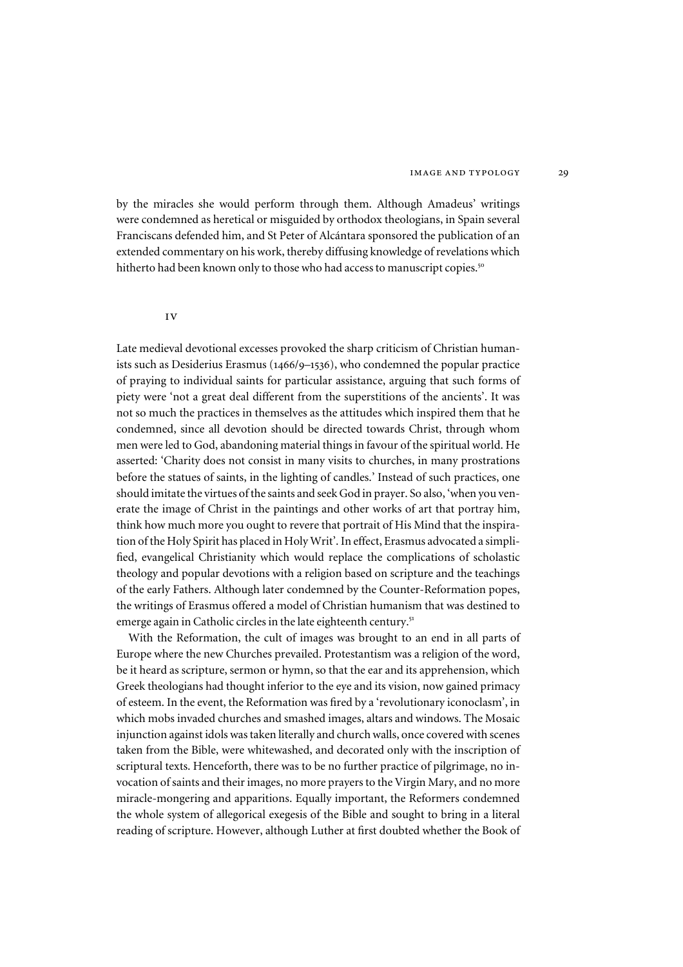by the miracles she would perform through them. Although Amadeus' writings were condemned as heretical or misguided by orthodox theologians, in Spain several Franciscans defended him, and St Peter of Alcántara sponsored the publication of an extended commentary on his work, thereby diffusing knowledge of revelations which hitherto had been known only to those who had access to manuscript copies.<sup>50</sup>

#### iv

Late medieval devotional excesses provoked the sharp criticism of Christian humanists such as Desiderius Erasmus (1466/9–1536), who condemned the popular practice of praying to individual saints for particular assistance, arguing that such forms of piety were 'not a great deal different from the superstitions of the ancients'. It was not so much the practices in themselves as the attitudes which inspired them that he condemned, since all devotion should be directed towards Christ, through whom men were led to God, abandoning material things in favour of the spiritual world. He asserted: 'Charity does not consist in many visits to churches, in many prostrations before the statues of saints, in the lighting of candles.' Instead of such practices, one should imitate the virtues of the saints and seek God in prayer. So also, 'when you venerate the image of Christ in the paintings and other works of art that portray him, think how much more you ought to revere that portrait of His Mind that the inspiration of the Holy Spirit has placed in Holy Writ'. In effect, Erasmus advocated a simplified, evangelical Christianity which would replace the complications of scholastic theology and popular devotions with a religion based on scripture and the teachings of the early Fathers. Although later condemned by the Counter-Reformation popes, the writings of Erasmus offered a model of Christian humanism that was destined to emerge again in Catholic circles in the late eighteenth century.<sup>51</sup>

With the Reformation, the cult of images was brought to an end in all parts of Europe where the new Churches prevailed. Protestantism was a religion of the word, be it heard as scripture, sermon or hymn, so that the ear and its apprehension, which Greek theologians had thought inferior to the eye and its vision, now gained primacy of esteem. In the event, the Reformation was fired by a 'revolutionary iconoclasm', in which mobs invaded churches and smashed images, altars and windows. The Mosaic injunction against idols was taken literally and church walls, once covered with scenes taken from the Bible, were whitewashed, and decorated only with the inscription of scriptural texts. Henceforth, there was to be no further practice of pilgrimage, no invocation of saints and their images, no more prayers to the Virgin Mary, and no more miracle-mongering and apparitions. Equally important, the Reformers condemned the whole system of allegorical exegesis of the Bible and sought to bring in a literal reading of scripture. However, although Luther at first doubted whether the Book of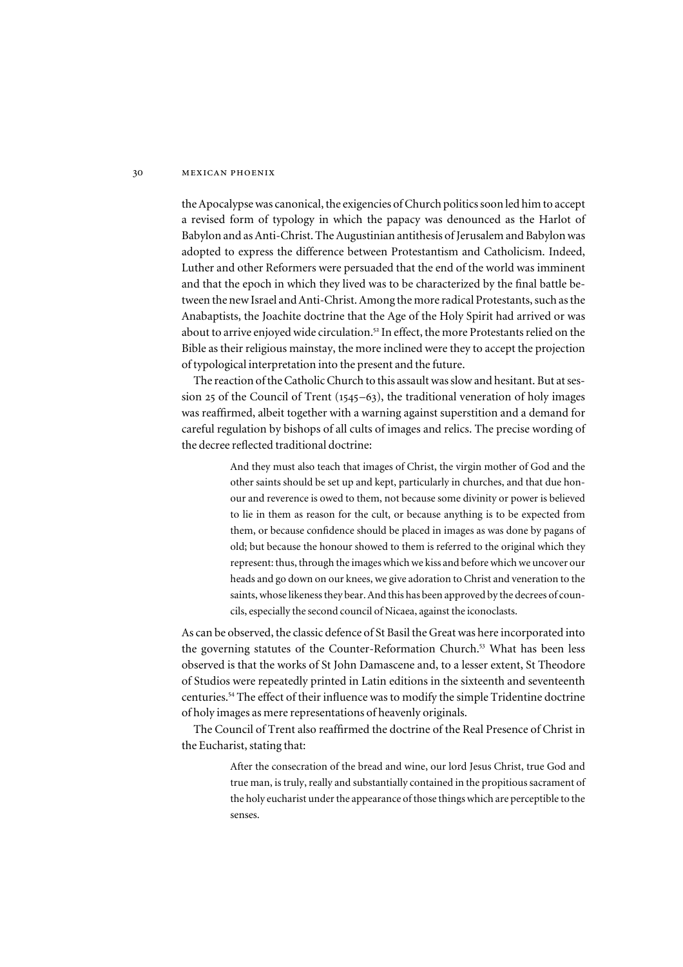the Apocalypse was canonical, the exigencies of Church politics soon led him to accept a revised form of typology in which the papacy was denounced as the Harlot of Babylon and as Anti-Christ. The Augustinian antithesis of Jerusalem and Babylon was adopted to express the difference between Protestantism and Catholicism. Indeed, Luther and other Reformers were persuaded that the end of the world was imminent and that the epoch in which they lived was to be characterized by the final battle between the new Israel and Anti-Christ. Among the more radical Protestants, such as the Anabaptists, the Joachite doctrine that the Age of the Holy Spirit had arrived or was about to arrive enjoyed wide circulation.<sup>52</sup> In effect, the more Protestants relied on the Bible as their religious mainstay, the more inclined were they to accept the projection of typological interpretation into the present and the future.

The reaction of the Catholic Church to this assault was slow and hesitant. But at session 25 of the Council of Trent  $(1545-63)$ , the traditional veneration of holy images was reaffirmed, albeit together with a warning against superstition and a demand for careful regulation by bishops of all cults of images and relics. The precise wording of the decree reflected traditional doctrine:

> And they must also teach that images of Christ, the virgin mother of God and the other saints should be set up and kept, particularly in churches, and that due honour and reverence is owed to them, not because some divinity or power is believed to lie in them as reason for the cult, or because anything is to be expected from them, or because confidence should be placed in images as was done by pagans of old; but because the honour showed to them is referred to the original which they represent: thus, through the images which we kiss and before which we uncover our heads and go down on our knees, we give adoration to Christ and veneration to the saints, whose likeness they bear. And this has been approved by the decrees of councils, especially the second council of Nicaea, against the iconoclasts.

As can be observed, the classic defence of St Basil the Great was here incorporated into the governing statutes of the Counter-Reformation Church.<sup>53</sup> What has been less observed is that the works of St John Damascene and, to a lesser extent, St Theodore of Studios were repeatedly printed in Latin editions in the sixteenth and seventeenth centuries.<sup>54</sup> The effect of their influence was to modify the simple Tridentine doctrine of holy images as mere representations of heavenly originals.

The Council of Trent also reaffirmed the doctrine of the Real Presence of Christ in the Eucharist, stating that:

> After the consecration of the bread and wine, our lord Jesus Christ, true God and true man, is truly, really and substantially contained in the propitious sacrament of the holy eucharist under the appearance of those things which are perceptible to the senses.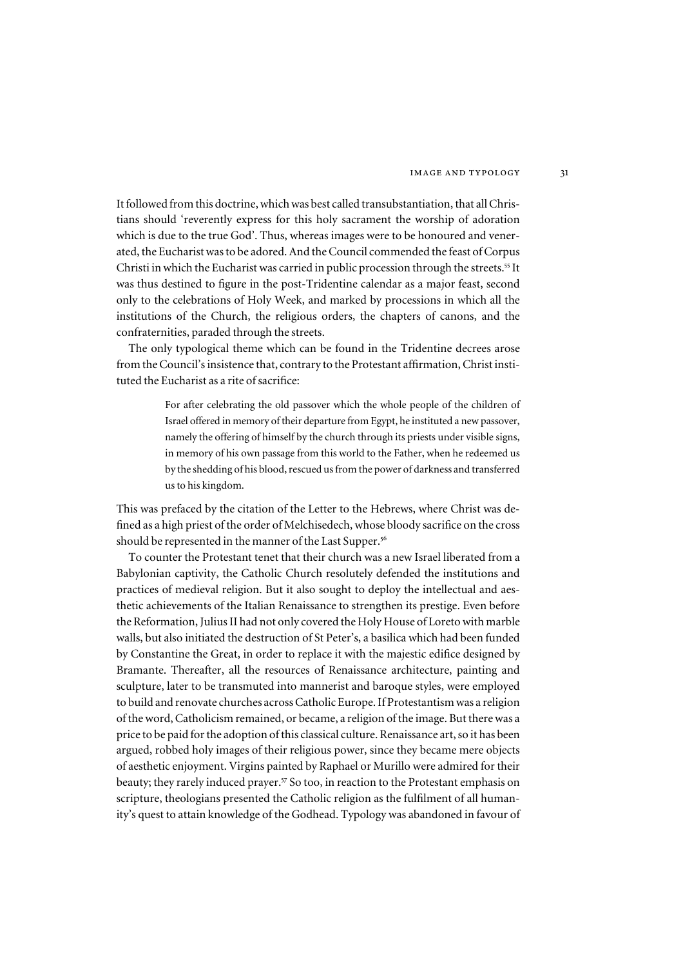It followed from this doctrine, which was best called transubstantiation, that all Christians should 'reverently express for this holy sacrament the worship of adoration which is due to the true God'. Thus, whereas images were to be honoured and venerated, the Eucharist was to be adored. And the Council commended the feast of Corpus Christi in which the Eucharist was carried in public procession through the streets.<sup>55</sup> It was thus destined to figure in the post-Tridentine calendar as a major feast, second only to the celebrations of Holy Week, and marked by processions in which all the institutions of the Church, the religious orders, the chapters of canons, and the confraternities, paraded through the streets.

The only typological theme which can be found in the Tridentine decrees arose from the Council's insistence that, contrary to the Protestant affirmation, Christ instituted the Eucharist as a rite of sacrifice:

> For after celebrating the old passover which the whole people of the children of Israel offered in memory of their departure from Egypt, he instituted a new passover, namely the offering of himself by the church through its priests under visible signs, in memory of his own passage from this world to the Father, when he redeemed us by the shedding of his blood, rescued us from the power of darkness and transferred us to his kingdom.

This was prefaced by the citation of the Letter to the Hebrews, where Christ was defined as a high priest of the order of Melchisedech, whose bloody sacrifice on the cross should be represented in the manner of the Last Supper.<sup>56</sup>

To counter the Protestant tenet that their church was a new Israel liberated from a Babylonian captivity, the Catholic Church resolutely defended the institutions and practices of medieval religion. But it also sought to deploy the intellectual and aesthetic achievements of the Italian Renaissance to strengthen its prestige. Even before the Reformation, Julius II had not only covered the Holy House of Loreto with marble walls, but also initiated the destruction of St Peter's, a basilica which had been funded by Constantine the Great, in order to replace it with the majestic edifice designed by Bramante. Thereafter, all the resources of Renaissance architecture, painting and sculpture, later to be transmuted into mannerist and baroque styles, were employed to build and renovate churches across Catholic Europe. If Protestantism was a religion of the word, Catholicism remained, or became, a religion of the image. But there was a price to be paid for the adoption of this classical culture. Renaissance art, so it has been argued, robbed holy images of their religious power, since they became mere objects of aesthetic enjoyment. Virgins painted by Raphael or Murillo were admired for their beauty; they rarely induced prayer.<sup>57</sup> So too, in reaction to the Protestant emphasis on scripture, theologians presented the Catholic religion as the fulfilment of all humanity's quest to attain knowledge of the Godhead. Typology was abandoned in favour of